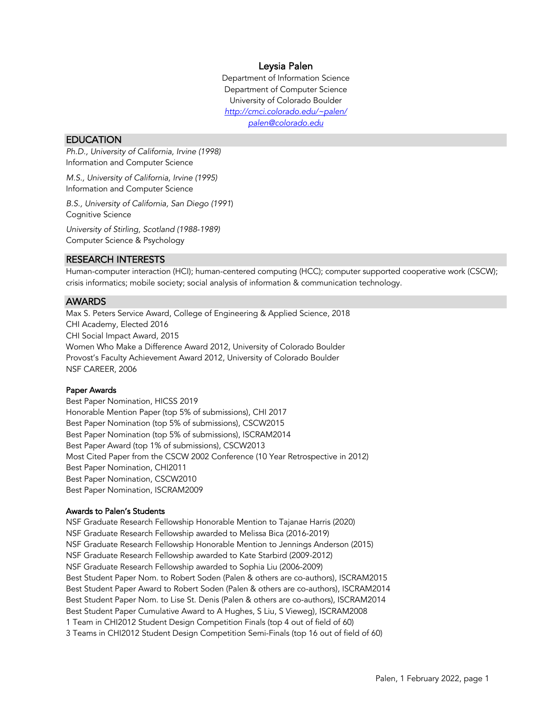# Leysia Palen

Department of Information Science Department of Computer Science University of Colorado Boulder *http://cmci.colorado.edu/~palen/ palen@colorado.edu*

# **EDUCATION**

*Ph.D., University of California, Irvine (1998)* Information and Computer Science

*M.S., University of California, Irvine (1995)* Information and Computer Science

*B.S., University of California, San Diego (1991*) Cognitive Science

*University of Stirling, Scotland (1988-1989)* Computer Science & Psychology

# RESEARCH INTERESTS

Human-computer interaction (HCI); human-centered computing (HCC); computer supported cooperative work (CSCW); crisis informatics; mobile society; social analysis of information & communication technology.

# **AWARDS**

Max S. Peters Service Award, College of Engineering & Applied Science, 2018 CHI Academy, Elected 2016 CHI Social Impact Award, 2015 Women Who Make a Difference Award 2012, University of Colorado Boulder Provost's Faculty Achievement Award 2012, University of Colorado Boulder NSF CAREER, 2006

### Paper Awards

Best Paper Nomination, HICSS 2019 Honorable Mention Paper (top 5% of submissions), CHI 2017 Best Paper Nomination (top 5% of submissions), CSCW2015 Best Paper Nomination (top 5% of submissions), ISCRAM2014 Best Paper Award (top 1% of submissions), CSCW2013 Most Cited Paper from the CSCW 2002 Conference (10 Year Retrospective in 2012) Best Paper Nomination, CHI2011 Best Paper Nomination, CSCW2010 Best Paper Nomination, ISCRAM2009

### Awards to Palen's Students

NSF Graduate Research Fellowship Honorable Mention to Tajanae Harris (2020) NSF Graduate Research Fellowship awarded to Melissa Bica (2016-2019) NSF Graduate Research Fellowship Honorable Mention to Jennings Anderson (2015) NSF Graduate Research Fellowship awarded to Kate Starbird (2009-2012) NSF Graduate Research Fellowship awarded to Sophia Liu (2006-2009) Best Student Paper Nom. to Robert Soden (Palen & others are co-authors), ISCRAM2015 Best Student Paper Award to Robert Soden (Palen & others are co-authors), ISCRAM2014 Best Student Paper Nom. to Lise St. Denis (Palen & others are co-authors), ISCRAM2014 Best Student Paper Cumulative Award to A Hughes, S Liu, S Vieweg), ISCRAM2008 1 Team in CHI2012 Student Design Competition Finals (top 4 out of field of 60) 3 Teams in CHI2012 Student Design Competition Semi-Finals (top 16 out of field of 60)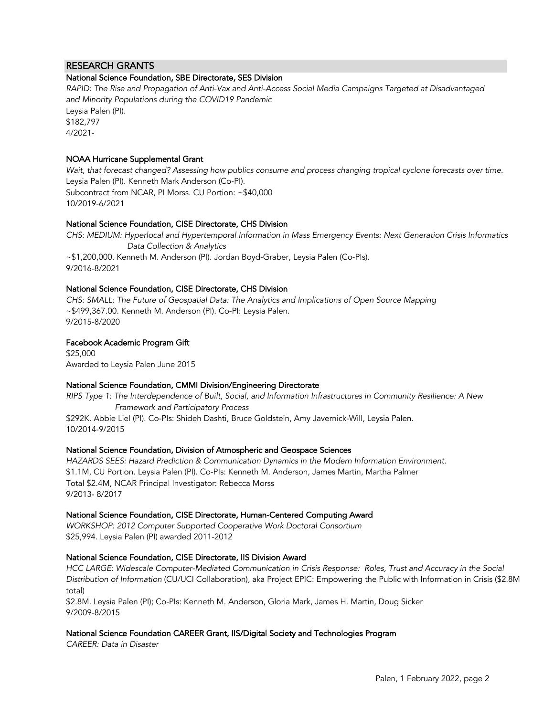# RESEARCH GRANTS

### National Science Foundation, SBE Directorate, SES Division

*RAPID: The Rise and Propagation of Anti-Vax and Anti-Access Social Media Campaigns Targeted at Disadvantaged and Minority Populations during the COVID19 Pandemic* Leysia Palen (PI). \$182,797 4/2021-

### NOAA Hurricane Supplemental Grant

*Wait, that forecast changed? Assessing how publics consume and process changing tropical cyclone forecasts over time.* Leysia Palen (PI). Kenneth Mark Anderson (Co-PI). Subcontract from NCAR, PI Morss. CU Portion: ~\$40,000 10/2019-6/2021

### National Science Foundation, CISE Directorate, CHS Division

*CHS: MEDIUM: Hyperlocal and Hypertemporal Information in Mass Emergency Events: Next Generation Crisis Informatics Data Collection & Analytics* ~\$1,200,000. Kenneth M. Anderson (PI). Jordan Boyd-Graber, Leysia Palen (Co-PIs). 9/2016-8/2021

### National Science Foundation, CISE Directorate, CHS Division

*CHS: SMALL: The Future of Geospatial Data: The Analytics and Implications of Open Source Mapping* ~\$499,367.00. Kenneth M. Anderson (PI). Co-PI: Leysia Palen. 9/2015-8/2020

### Facebook Academic Program Gift

\$25,000 Awarded to Leysia Palen June 2015

### National Science Foundation, CMMI Division/Engineering Directorate

*RIPS Type 1: The Interdependence of Built, Social, and Information Infrastructures in Community Resilience: A New Framework and Participatory Process* \$292K. Abbie Liel (PI). Co-PIs: Shideh Dashti, Bruce Goldstein, Amy Javernick-Will, Leysia Palen. 10/2014-9/2015

### National Science Foundation, Division of Atmospheric and Geospace Sciences

*HAZARDS SEES: Hazard Prediction & Communication Dynamics in the Modern Information Environment.* \$1.1M, CU Portion. Leysia Palen (PI). Co-PIs: Kenneth M. Anderson, James Martin, Martha Palmer Total \$2.4M, NCAR Principal Investigator: Rebecca Morss 9/2013- 8/2017

### National Science Foundation, CISE Directorate, Human-Centered Computing Award

*WORKSHOP: 2012 Computer Supported Cooperative Work Doctoral Consortium*  \$25,994. Leysia Palen (PI) awarded 2011-2012

### National Science Foundation, CISE Directorate, IIS Division Award

*HCC LARGE: Widescale Computer-Mediated Communication in Crisis Response: Roles, Trust and Accuracy in the Social Distribution of Information* (CU/UCI Collaboration), aka Project EPIC: Empowering the Public with Information in Crisis (\$2.8M total)

\$2.8M. Leysia Palen (PI); Co-PIs: Kenneth M. Anderson, Gloria Mark, James H. Martin, Doug Sicker 9/2009-8/2015

### National Science Foundation CAREER Grant, IIS/Digital Society and Technologies Program

*CAREER: Data in Disaster*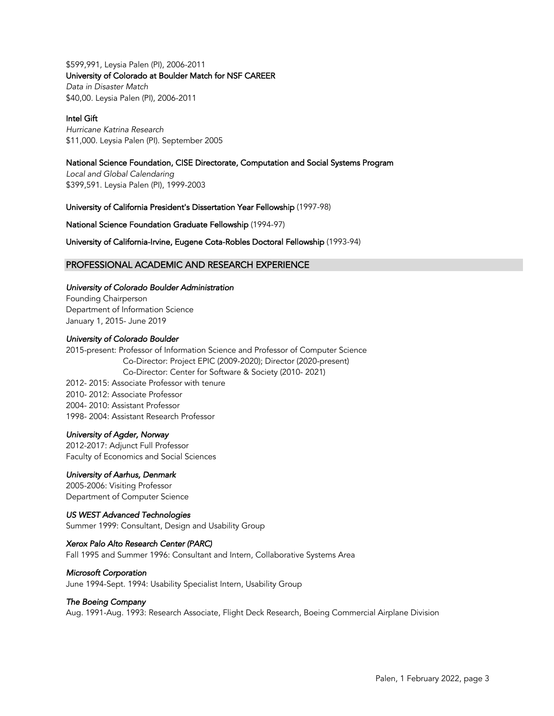\$599,991*,* Leysia Palen (PI), 2006-2011 University of Colorado at Boulder Match for NSF CAREER *Data in Disaster Match* \$40,00*.* Leysia Palen (PI), 2006-2011

### Intel Gift

*Hurricane Katrina Research* \$11,000. Leysia Palen (PI). September 2005

# National Science Foundation, CISE Directorate, Computation and Social Systems Program

*Local and Global Calendaring* \$399,591. Leysia Palen (PI), 1999-2003

# University of California President's Dissertation Year Fellowship (1997-98)

National Science Foundation Graduate Fellowship (1994-97)

University of California-Irvine, Eugene Cota-Robles Doctoral Fellowship (1993-94)

# PROFESSIONAL ACADEMIC AND RESEARCH EXPERIENCE

### *University of Colorado Boulder Administration*

Founding Chairperson Department of Information Science January 1, 2015- June 2019

### *University of Colorado Boulder*

2015-present: Professor of Information Science and Professor of Computer Science Co-Director: Project EPIC (2009-2020); Director (2020-present) Co-Director: Center for Software & Society (2010- 2021) 2012- 2015: Associate Professor with tenure 2010- 2012: Associate Professor 2004- 2010: Assistant Professor 1998- 2004: Assistant Research Professor

### *University of Agder, Norway*

2012-2017: Adjunct Full Professor Faculty of Economics and Social Sciences

# *University of Aarhus, Denmark*

2005-2006: Visiting Professor Department of Computer Science

# *US WEST Advanced Technologies*

Summer 1999: Consultant, Design and Usability Group

# *Xerox Palo Alto Research Center (PARC)*

Fall 1995 and Summer 1996: Consultant and Intern, Collaborative Systems Area

# *Microsoft Corporation*

June 1994-Sept. 1994: Usability Specialist Intern, Usability Group

# *The Boeing Company*

Aug. 1991-Aug. 1993: Research Associate, Flight Deck Research, Boeing Commercial Airplane Division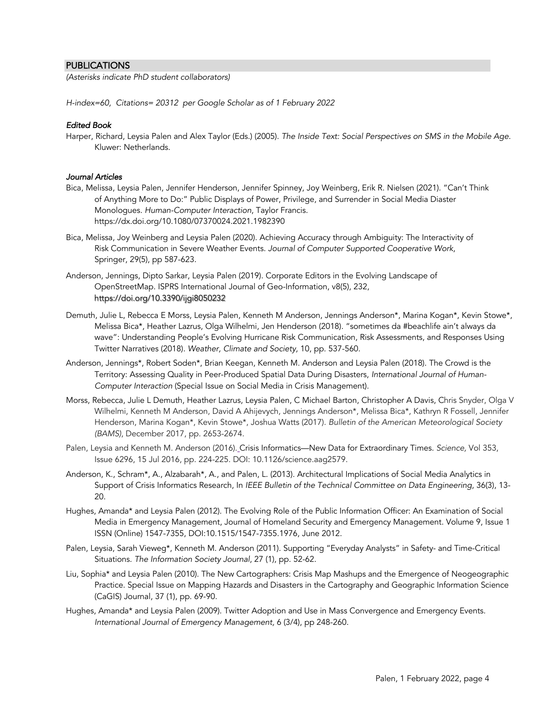# PUBLICATIONS

*(Asterisks indicate PhD student collaborators)*

*H-index=60, Citations= 20312 per Google Scholar as of 1 February 2022*

# *Edited Book*

Harper, Richard, Leysia Palen and Alex Taylor (Eds.) (2005). *The Inside Text: Social Perspectives on SMS in the Mobile Age*. Kluwer: Netherlands.

# *Journal Articles*

- Bica, Melissa, Leysia Palen, Jennifer Henderson, Jennifer Spinney, Joy Weinberg, Erik R. Nielsen (2021). "Can't Think of Anything More to Do:" Public Displays of Power, Privilege, and Surrender in Social Media Diaster Monologues. *Human-Computer Interaction*, Taylor Francis. https://dx.doi.org/10.1080/07370024.2021.1982390
- Bica, Melissa, Joy Weinberg and Leysia Palen (2020). Achieving Accuracy through Ambiguity: The Interactivity of Risk Communication in Severe Weather Events. *Journal of Computer Supported Cooperative Work*, Springer, 29(5), pp 587-623.
- Anderson, Jennings, Dipto Sarkar, Leysia Palen (2019). Corporate Editors in the Evolving Landscape of OpenStreetMap. ISPRS International Journal of Geo-Information, v8(5), 232, https://doi.org/10.3390/ijgi8050232
- Demuth, Julie L, Rebecca E Morss, Leysia Palen, Kenneth M Anderson, Jennings Anderson\*, Marina Kogan\*, Kevin Stowe\*, Melissa Bica\*, Heather Lazrus, Olga Wilhelmi, Jen Henderson (2018). "sometimes da #beachlife ain't always da wave": Understanding People's Evolving Hurricane Risk Communication, Risk Assessments, and Responses Using Twitter Narratives (2018). *Weather, Climate and Society,* 10, pp. 537-560.
- Anderson, Jennings\*, Robert Soden\*, Brian Keegan, Kenneth M. Anderson and Leysia Palen (2018). The Crowd is the Territory: Assessing Quality in Peer-Produced Spatial Data During Disasters, *International Journal of Human-Computer Interaction* (Special Issue on Social Media in Crisis Management).
- Morss, Rebecca, Julie L Demuth, Heather Lazrus, Leysia Palen, C Michael Barton, Christopher A Davis, Chris Snyder, Olga V Wilhelmi, Kenneth M Anderson, David A Ahijevych, Jennings Anderson\*, Melissa Bica\*, Kathryn R Fossell, Jennifer Henderson, Marina Kogan\*, Kevin Stowe\*, Joshua Watts (2017). *Bulletin of the American Meteorological Society (BAMS)*, December 2017, pp. 2653-2674.
- Palen, Leysia and Kenneth M. Anderson (2016). Crisis Informatics—New Data for Extraordinary Times. *Science,* Vol 353, Issue 6296, 15 Jul 2016, pp. 224-225. DOI: 10.1126/science.aag2579.
- Anderson, K., Schram\*, A., Alzabarah\*, A., and Palen, L. (2013). Architectural Implications of Social Media Analytics in Support of Crisis Informatics Research, In *IEEE Bulletin of the Technical Committee on Data Engineering*, 36(3), 13- 20.
- Hughes, Amanda\* and Leysia Palen (2012). The Evolving Role of the Public Information Officer: An Examination of Social Media in Emergency Management, Journal of Homeland Security and Emergency Management. Volume 9, Issue 1 ISSN (Online) 1547-7355, DOI:10.1515/1547-7355.1976, June 2012.
- Palen, Leysia, Sarah Vieweg\*, Kenneth M. Anderson (2011). Supporting "Everyday Analysts" in Safety- and Time-Critical Situations. *The Information Society Journal*, 27 (1), pp. 52-62.
- Liu, Sophia\* and Leysia Palen (2010). The New Cartographers: Crisis Map Mashups and the Emergence of Neogeographic Practice. Special Issue on Mapping Hazards and Disasters in the Cartography and Geographic Information Science (CaGIS) Journal, 37 (1), pp. 69-90.
- Hughes, Amanda\* and Leysia Palen (2009). Twitter Adoption and Use in Mass Convergence and Emergency Events. *International Journal of Emergency Management,* 6 (3/4), pp 248-260.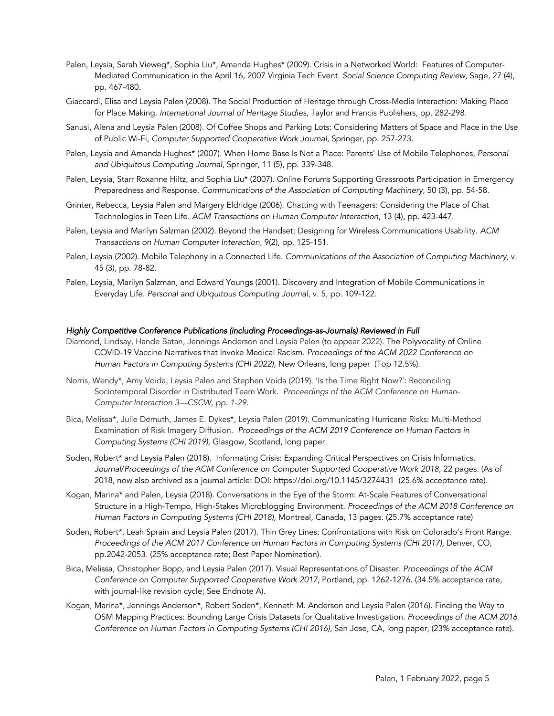- Palen, Leysia, Sarah Vieweg\*, Sophia Liu\*, Amanda Hughes\* (2009). Crisis in a Networked World: Features of Computer-Mediated Communication in the April 16, 2007 Virginia Tech Event. *Social Science Computing Review,* Sage, 27 (4), pp. 467-480.
- Giaccardi, Elisa and Leysia Palen (2008). The Social Production of Heritage through Cross-Media Interaction: Making Place for Place Making. *International Journal of Heritage Studies*, Taylor and Francis Publishers, pp. 282-298.
- Sanusi, Alena and Leysia Palen (2008). Of Coffee Shops and Parking Lots: Considering Matters of Space and Place in the Use of Public Wi-Fi, *Computer Supported Cooperative Work Journal*, Springer, pp. 257-273.
- Palen, Leysia and Amanda Hughes\* (2007). When Home Base Is Not a Place: Parents' Use of Mobile Telephones, *Personal and Ubiquitous Computing Journal*, Springer, 11 (5), pp. 339-348.
- Palen, Leysia, Starr Roxanne Hiltz, and Sophia Liu\* (2007). Online Forums Supporting Grassroots Participation in Emergency Preparedness and Response. *Communications of the Association of Computing Machinery*, 50 (3), pp. 54-58.
- Grinter, Rebecca, Leysia Palen and Margery Eldridge (2006). Chatting with Teenagers: Considering the Place of Chat Technologies in Teen Life. *ACM Transactions on Human Computer Interaction*, 13 (4), pp. 423-447.
- Palen, Leysia and Marilyn Salzman (2002). Beyond the Handset: Designing for Wireless Communications Usability. *ACM Transactions on Human Computer Interaction*, 9(2), pp. 125-151.
- Palen, Leysia (2002). Mobile Telephony in a Connected Life. *Communications of the Association of Computing Machinery,* v. 45 (3), pp. 78-82.
- Palen, Leysia, Marilyn Salzman, and Edward Youngs (2001). Discovery and Integration of Mobile Communications in Everyday Life. *Personal and Ubiquitous Computing Journal,* v. 5, pp. 109-122.

### *Highly Competitive Conference Publications (including Proceedings-as-Journals) Reviewed in Full*

- Diamond, Lindsay, Hande Batan, Jennings Anderson and Leysia Palen (to appear 2022). The Polyvocality of Online COVID-19 Vaccine Narratives that Invoke Medical Racism. *Proceedings of the ACM 2022 Conference on Human Factors in Computing Systems (CHI 2022),* New Orleans, long paper (Top 12.5%).
- Norris, Wendy\*, Amy Voida, Leysia Palen and Stephen Voida (2019). 'Is the Time Right Now?': Reconciling Sociotemporal Disorder in Distributed Team Work. *Proceedings of the ACM Conference on Human-Computer Interaction 3—CSCW, pp. 1-29.*
- Bica, Melissa\*, Julie Demuth, James E. Dykes\*, Leysia Palen (2019). Communicating Hurricane Risks: Multi-Method Examination of Risk Imagery Diffusion. *Proceedings of the ACM 2019 Conference on Human Factors in Computing Systems (CHI 2019),* Glasgow, Scotland, long paper.
- Soden, Robert\* and Leysia Palen (2018). Informating Crisis: Expanding Critical Perspectives on Crisis Informatics. *Journal*/*Proceedings of the ACM Conference on Computer Supported Cooperative Work 2018,* 22 pages. (As of 2018, now also archived as a journal article: DOI: https://doi.org/10.1145/3274431 (25.6% acceptance rate).
- Kogan, Marina\* and Palen, Leysia (2018). Conversations in the Eye of the Storm: At-Scale Features of Conversational Structure in a High-Tempo, High-Stakes Microblogging Environment. *Proceedings of the ACM 2018 Conference on Human Factors in Computing Systems (CHI 2018),* Montreal, Canada, 13 pages. (25.7% acceptance rate)
- Soden, Robert\*, Leah Sprain and Leysia Palen (2017). Thin Grey Lines: Confrontations with Risk on Colorado's Front Range. Proceedings of the ACM 2017 Conference on Human Factors in Computing Systems (CHI 2017), Denver, CO, pp.2042-2053. (25% acceptance rate; Best Paper Nomination).
- Bica, Melissa, Christopher Bopp, and Leysia Palen (2017). Visual Representations of Disaster. *Proceedings of the ACM Conference on Computer Supported Cooperative Work 2017*, Portland, pp. 1262-1276. (34.5% acceptance rate, with journal-like revision cycle; See Endnote A).
- Kogan, Marina\*, Jennings Anderson\*, Robert Soden\*, Kenneth M. Anderson and Leysia Palen (2016). Finding the Way to OSM Mapping Practices: Bounding Large Crisis Datasets for Qualitative Investigation. *Proceedings of the ACM 2016 Conference on Human Factors in Computing Systems (CHI 2016),* San Jose, CA, long paper, (23% acceptance rate).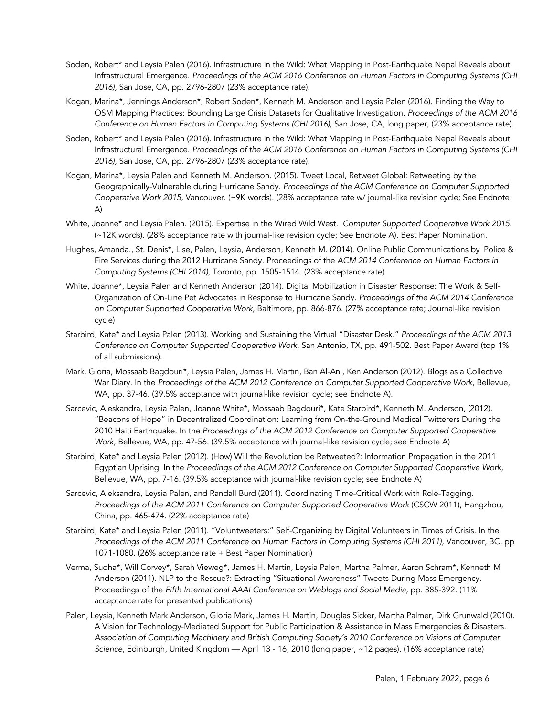- Soden, Robert\* and Leysia Palen (2016). Infrastructure in the Wild: What Mapping in Post-Earthquake Nepal Reveals about Infrastructural Emergence. *Proceedings of the ACM 2016 Conference on Human Factors in Computing Systems (CHI 2016),* San Jose, CA, pp. 2796-2807 (23% acceptance rate).
- Kogan, Marina\*, Jennings Anderson\*, Robert Soden\*, Kenneth M. Anderson and Leysia Palen (2016). Finding the Way to OSM Mapping Practices: Bounding Large Crisis Datasets for Qualitative Investigation. *Proceedings of the ACM 2016 Conference on Human Factors in Computing Systems (CHI 2016),* San Jose, CA, long paper, (23% acceptance rate).
- Soden, Robert\* and Leysia Palen (2016). Infrastructure in the Wild: What Mapping in Post-Earthquake Nepal Reveals about Infrastructural Emergence. *Proceedings of the ACM 2016 Conference on Human Factors in Computing Systems (CHI 2016),* San Jose, CA, pp. 2796-2807 (23% acceptance rate).
- Kogan, Marina\*, Leysia Palen and Kenneth M. Anderson. (2015). Tweet Local, Retweet Global: Retweeting by the Geographically-Vulnerable during Hurricane Sandy. *Proceedings of the ACM Conference on Computer Supported Cooperative Work 2015*, Vancouver. (~9K words). (28% acceptance rate w/ journal-like revision cycle; See Endnote A)
- White, Joanne\* and Leysia Palen. (2015). Expertise in the Wired Wild West. *Computer Supported Cooperative Work 2015*. (~12K words). (28% acceptance rate with journal-like revision cycle; See Endnote A). Best Paper Nomination.
- Hughes, Amanda., St. Denis\*, Lise, Palen, Leysia, Anderson, Kenneth M. (2014). Online Public Communications by Police & Fire Services during the 2012 Hurricane Sandy. Proceedings of the *ACM 2014 Conference on Human Factors in Computing Systems (CHI 2014),* Toronto, pp. 1505-1514. (23% acceptance rate)
- White, Joanne\*, Leysia Palen and Kenneth Anderson (2014). Digital Mobilization in Disaster Response: The Work & Self-Organization of On-Line Pet Advocates in Response to Hurricane Sandy. *Proceedings of the ACM 2014 Conference on Computer Supported Cooperative Work*, Baltimore, pp. 866-876. (27% acceptance rate; Journal-like revision cycle)
- Starbird, Kate\* and Leysia Palen (2013). Working and Sustaining the Virtual "Disaster Desk." *Proceedings of the ACM 2013 Conference on Computer Supported Cooperative Work*, San Antonio, TX, pp. 491-502. Best Paper Award (top 1% of all submissions).
- Mark, Gloria, Mossaab Bagdouri\*, Leysia Palen, James H. Martin, Ban Al-Ani, Ken Anderson (2012). Blogs as a Collective War Diary. In the *Proceedings of the ACM 2012 Conference on Computer Supported Cooperative Work*, Bellevue, WA, pp. 37-46. (39.5% acceptance with journal-like revision cycle; see Endnote A).
- Sarcevic, Aleskandra, Leysia Palen, Joanne White\*, Mossaab Bagdouri\*, Kate Starbird\*, Kenneth M. Anderson, (2012). "Beacons of Hope" in Decentralized Coordination: Learning from On-the-Ground Medical Twitterers During the 2010 Haiti Earthquake. In the *Proceedings of the ACM 2012 Conference on Computer Supported Cooperative Work*, Bellevue, WA, pp. 47-56. (39.5% acceptance with journal-like revision cycle; see Endnote A)
- Starbird, Kate\* and Leysia Palen (2012). (How) Will the Revolution be Retweeted?: Information Propagation in the 2011 Egyptian Uprising. In the *Proceedings of the ACM 2012 Conference on Computer Supported Cooperative Work*, Bellevue, WA, pp. 7-16. (39.5% acceptance with journal-like revision cycle; see Endnote A)
- Sarcevic, Aleksandra, Leysia Palen, and Randall Burd (2011). Coordinating Time-Critical Work with Role-Tagging. *Proceedings of the ACM 2011 Conference on Computer Supported Cooperative Work* (CSCW 2011), Hangzhou, China, pp. 465-474. (22% acceptance rate)
- Starbird, Kate\* and Leysia Palen (2011). "Voluntweeters:" Self-Organizing by Digital Volunteers in Times of Crisis. In the Proceedings of the ACM 2011 Conference on Human Factors in Computing Systems (CHI 2011), Vancouver, BC, pp 1071-1080. (26% acceptance rate + Best Paper Nomination)
- Verma, Sudha\*, Will Corvey\*, Sarah Vieweg\*, James H. Martin, Leysia Palen, Martha Palmer, Aaron Schram\*, Kenneth M Anderson (2011). NLP to the Rescue?: Extracting "Situational Awareness" Tweets During Mass Emergency. Proceedings of the *Fifth International AAAI Conference on Weblogs and Social Media,* pp. 385-392*.* (11% acceptance rate for presented publications)
- Palen, Leysia, Kenneth Mark Anderson, Gloria Mark, James H. Martin, Douglas Sicker, Martha Palmer, Dirk Grunwald (2010). A Vision for Technology-Mediated Support for Public Participation & Assistance in Mass Emergencies & Disasters. *Association of Computing Machinery and British Computing Society's 2010 Conference on Visions of Computer Science,* Edinburgh, United Kingdom — April 13 - 16, 2010 (long paper, ~12 pages). (16% acceptance rate)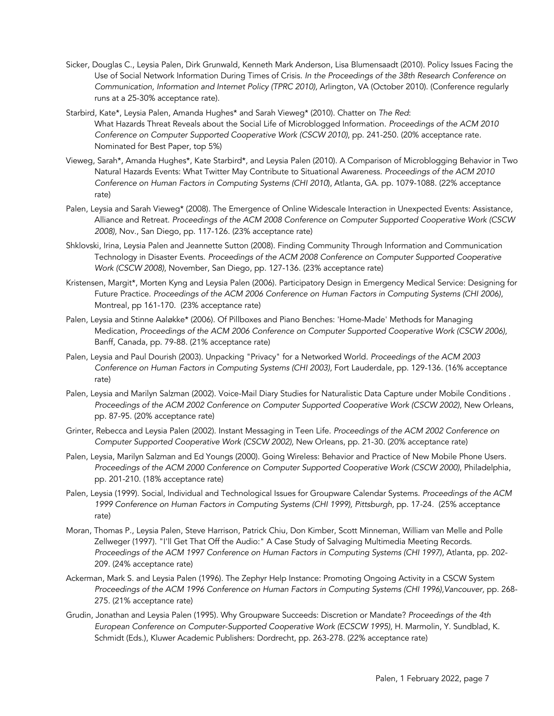- Sicker, Douglas C., Leysia Palen, Dirk Grunwald, Kenneth Mark Anderson, Lisa Blumensaadt (2010). Policy Issues Facing the Use of Social Network Information During Times of Crisis. *In the Proceedings of the 38th Research Conference on Communication, Information and Internet Policy (TPRC 2010),* Arlington, VA (October 2010). (Conference regularly runs at a 25-30% acceptance rate).
- Starbird, Kate\*, Leysia Palen, Amanda Hughes\* and Sarah Vieweg\* (2010). Chatter on *The Red*: What Hazards Threat Reveals about the Social Life of Microblogged Information. *Proceedings of the ACM 2010 Conference on Computer Supported Cooperative Work (CSCW 2010)*, pp. 241-250. (20% acceptance rate. Nominated for Best Paper, top 5%)
- Vieweg, Sarah\*, Amanda Hughes\*, Kate Starbird\*, and Leysia Palen (2010). A Comparison of Microblogging Behavior in Two Natural Hazards Events: What Twitter May Contribute to Situational Awareness. *Proceedings of the ACM 2010 Conference on Human Factors in Computing Systems (CHI 2010*), Atlanta, GA. pp. 1079-1088. (22% acceptance rate)
- Palen, Leysia and Sarah Vieweg\* (2008). The Emergence of Online Widescale Interaction in Unexpected Events: Assistance, Alliance and Retreat. *Proceedings of the ACM 2008 Conference on Computer Supported Cooperative Work (CSCW 2008),* Nov., San Diego, pp. 117-126. (23% acceptance rate)
- Shklovski, Irina, Leysia Palen and Jeannette Sutton (2008). Finding Community Through Information and Communication Technology in Disaster Events. *Proceedings of the ACM 2008 Conference on Computer Supported Cooperative Work (CSCW 2008)*, November, San Diego, pp. 127-136. (23% acceptance rate)
- Kristensen, Margit\*, Morten Kyng and Leysia Palen (2006). Participatory Design in Emergency Medical Service: Designing for Future Practice. *Proceedings of the ACM 2006 Conference on Human Factors in Computing Systems (CHI 2006)*, Montreal, pp 161-170. (23% acceptance rate)
- Palen, Leysia and Stinne Aaløkke\* (2006). Of Pillboxes and Piano Benches: 'Home-Made' Methods for Managing Medication, *Proceedings of the ACM 2006 Conference on Computer Supported Cooperative Work (CSCW 2006),*  Banff, Canada, pp. 79-88. (21% acceptance rate)
- Palen, Leysia and Paul Dourish (2003). Unpacking "Privacy" for a Networked World. *Proceedings of the ACM 2003 Conference on Human Factors in Computing Systems (CHI 2003),* Fort Lauderdale, pp. 129-136. (16% acceptance rate)
- Palen, Leysia and Marilyn Salzman (2002). Voice-Mail Diary Studies for Naturalistic Data Capture under Mobile Conditions . *Proceedings of the ACM 2002 Conference on Computer Supported Cooperative Work (CSCW 2002)*, New Orleans, pp. 87-95. (20% acceptance rate)
- Grinter, Rebecca and Leysia Palen (2002). Instant Messaging in Teen Life. *Proceedings of the ACM 2002 Conference on Computer Supported Cooperative Work (CSCW 2002),* New Orleans, pp. 21-30. (20% acceptance rate)
- Palen, Leysia, Marilyn Salzman and Ed Youngs (2000). Going Wireless: Behavior and Practice of New Mobile Phone Users. *Proceedings of the ACM 2000 Conference on Computer Supported Cooperative Work (CSCW 2000)*, Philadelphia, pp. 201-210. (18% acceptance rate)
- Palen, Leysia (1999). Social, Individual and Technological Issues for Groupware Calendar Systems. *Proceedings of the ACM*  1999 Conference on Human Factors in Computing Systems (CHI 1999), Pittsburgh, pp. 17-24. (25% acceptance rate)
- Moran, Thomas P., Leysia Palen, Steve Harrison, Patrick Chiu, Don Kimber, Scott Minneman, William van Melle and Polle Zellweger (1997). "I'll Get That Off the Audio:" A Case Study of Salvaging Multimedia Meeting Records*. Proceedings of the ACM 1997 Conference on Human Factors in Computing Systems (CHI 1997)*, Atlanta, pp. 202- 209. (24% acceptance rate)
- Ackerman, Mark S. and Leysia Palen (1996). The Zephyr Help Instance: Promoting Ongoing Activity in a CSCW System *Proceedings of the ACM 1996 Conference on Human Factors in Computing Systems (CHI 1996),Vancouver,* pp. 268- 275. (21% acceptance rate)
- Grudin, Jonathan and Leysia Palen (1995). Why Groupware Succeeds: Discretion or Mandate? *Proceedings of the 4th European Conference on Computer-Supported Cooperative Work (ECSCW 1995)*, H. Marmolin, Y. Sundblad, K. Schmidt (Eds.), Kluwer Academic Publishers: Dordrecht, pp. 263-278. (22% acceptance rate)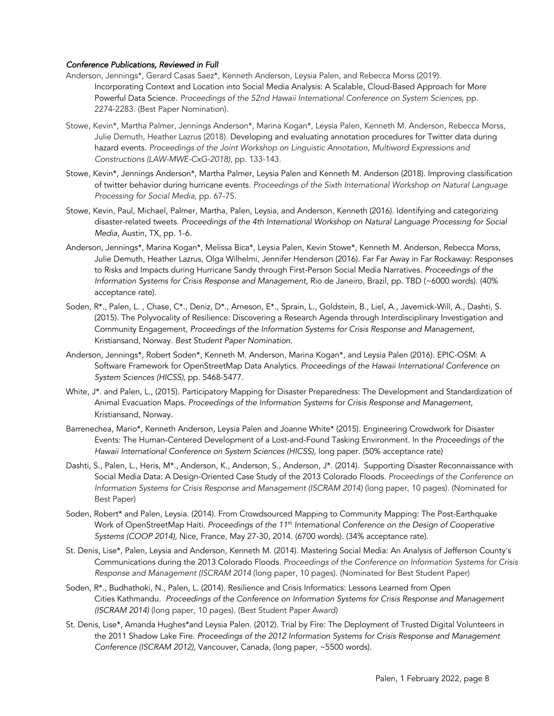### *Conference Publications, Reviewed in Full*

- Anderson, Jennings\*, Gerard Casas Saez\*, Kenneth Anderson, Leysia Palen, and Rebecca Morss (2019). Incorporating Context and Location into Social Media Analysis: A Scalable, Cloud-Based Approach for More Powerful Data Science. *Proceedings of the 52nd Hawaii International Conference on System Sciences,* pp. 2274-2283. (Best Paper Nomination).
- Stowe, Kevin\*, Martha Palmer, Jennings Anderson\*, Marina Kogan\*, Leysia Palen, Kenneth M. Anderson, Rebecca Morss, Julie Demuth, Heather Lazrus (2018). Developing and evaluating annotation procedures for Twitter data during hazard events. *Proceedings of the Joint Workshop on Linguistic Annotation, Multiword Expressions and Constructions (LAW-MWE-CxG-2018)*, pp. 133-143.
- Stowe, Kevin\*, Jennings Anderson\*, Martha Palmer, Leysia Palen and Kenneth M. Anderson (2018). Improving classification of twitter behavior during hurricane events. *Proceedings of the Sixth International Workshop on Natural Language Processing for Social Media,* pp. 67-75.
- Stowe, Kevin, Paul, Michael, Palmer, Martha, Palen, Leysia, and Anderson, Kenneth (2016). Identifying and categorizing disaster-related tweets. *Proceedings of the 4th International Workshop on Natural Language Processing for Social Media*, Austin, TX, pp. 1-6.
- Anderson, Jennings\*, Marina Kogan\*, Melissa Bica\*, Leysia Palen, Kevin Stowe\*, Kenneth M. Anderson, Rebecca Morss, Julie Demuth, Heather Lazrus, Olga Wilhelmi, Jennifer Henderson (2016). Far Far Away in Far Rockaway: Responses to Risks and Impacts during Hurricane Sandy through First-Person Social Media Narratives. *Proceedings of the Information Systems for Crisis Response and Management*, Rio de Janeiro, Brazil, pp. TBD (~6000 words). (40% acceptance rate).
- Soden, R\*., Palen, L. , Chase, C\*., Deniz, D\*., Arneson, E\*., Sprain, L., Goldstein, B., Liel, A., Javernick-Will, A., Dashti, S. (2015). The Polyvocality of Resilience: Discovering a Research Agenda through Interdisciplinary Investigation and Community Engagement, *Proceedings of the Information Systems for Crisis Response and Management*, Kristiansand, Norway. *Best Student Paper Nomination.*
- Anderson, Jennings\*, Robert Soden\*, Kenneth M. Anderson, Marina Kogan\*, and Leysia Palen (2016). EPIC-OSM: A Software Framework for OpenStreetMap Data Analytics. *Proceedings of the Hawaii International Conference on System Sciences (HICSS)*, pp. 5468-5477.
- White, J\*. and Palen, L., (2015). Participatory Mapping for Disaster Preparedness: The Development and Standardization of Animal Evacuation Maps. *Proceedings of the Information Systems for Crisis Response and Management*, Kristiansand, Norway.
- Barrenechea, Mario\*, Kenneth Anderson, Leysia Palen and Joanne White\* (2015). Engineering Crowdwork for Disaster Events: The Human-Centered Development of a Lost-and-Found Tasking Environment. In the *Proceedings of the Hawaii International Conference on System Sciences (HICSS),* long paper. (50% acceptance rate)
- Dashti, S., Palen, L., Heris, M\*., Anderson, K., Anderson, S., Anderson, J\*. (2014). Supporting Disaster Reconnaissance with Social Media Data: A Design-Oriented Case Study of the 2013 Colorado Floods. *Proceedings of the Conference on Information Systems for Crisis Response and Management (ISCRAM 2014)* (long paper, 10 pages)*.* (Nominated for Best Paper)
- Soden, Robert\* and Palen, Leysia. (2014). From Crowdsourced Mapping to Community Mapping: The Post-Earthquake Work of OpenStreetMap Haiti. *Proceedings of the 11th International Conference on the Design of Cooperative Systems (COOP 2014)*, Nice, France, May 27-30, 2014. (6700 words). (34% acceptance rate).
- St. Denis, Lise\*, Palen, Leysia and Anderson, Kenneth M. (2014). Mastering Social Media: An Analysis of Jefferson County's Communications during the 2013 Colorado Floods. *Proceedings of the Conference on Information Systems for Crisis Response and Management (ISCRAM 2014* (long paper, 10 pages)*.* (Nominated for Best Student Paper)
- Soden, R\*., Budhathoki, N., Palen, L. (2014). Resilience and Crisis Informatics: Lessons Learned from Open Cities Kathmandu. *Proceedings of the Conference on Information Systems for Crisis Response and Management (ISCRAM 2014)* (long paper, 10 pages). (Best Student Paper Award)
- St. Denis, Lise\*, Amanda Hughes\*and Leysia Palen. (2012). Trial by Fire: The Deployment of Trusted Digital Volunteers in the 2011 Shadow Lake Fire. *Proceedings of the 2012 Information Systems for Crisis Response and Management Conference (ISCRAM 2012),* Vancouver, Canada, (long paper, ~5500 words).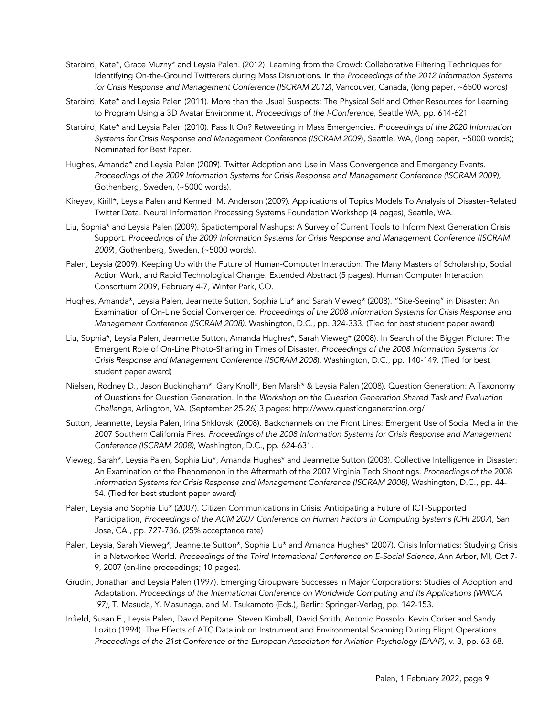- Starbird, Kate\*, Grace Muzny\* and Leysia Palen. (2012). Learning from the Crowd: Collaborative Filtering Techniques for Identifying On-the-Ground Twitterers during Mass Disruptions. In the *Proceedings of the 2012 Information Systems for Crisis Response and Management Conference (ISCRAM 2012),* Vancouver, Canada, (long paper, ~6500 words)
- Starbird, Kate\* and Leysia Palen (2011). More than the Usual Suspects: The Physical Self and Other Resources for Learning to Program Using a 3D Avatar Environment, *Proceedings of the I-Conference*, Seattle WA, pp. 614-621.
- Starbird, Kate\* and Leysia Palen (2010). Pass It On? Retweeting in Mass Emergencies. *Proceedings of the 2020 Information Systems for Crisis Response and Management Conference (ISCRAM 2009*), Seattle, WA, (long paper, ~5000 words); Nominated for Best Paper.
- Hughes, Amanda\* and Leysia Palen (2009). Twitter Adoption and Use in Mass Convergence and Emergency Events. *Proceedings of the 2009 Information Systems for Crisis Response and Management Conference (ISCRAM 2009),*  Gothenberg, Sweden, (~5000 words).
- Kireyev, Kirill\*, Leysia Palen and Kenneth M. Anderson (2009). Applications of Topics Models To Analysis of Disaster-Related Twitter Data. Neural Information Processing Systems Foundation Workshop (4 pages), Seattle, WA.
- Liu, Sophia\* and Leysia Palen (2009). Spatiotemporal Mashups: A Survey of Current Tools to Inform Next Generation Crisis Support. *Proceedings of the 2009 Information Systems for Crisis Response and Management Conference (ISCRAM 2009*), Gothenberg, Sweden, (~5000 words).
- Palen, Leysia (2009). Keeping Up with the Future of Human-Computer Interaction: The Many Masters of Scholarship, Social Action Work, and Rapid Technological Change. Extended Abstract (5 pages), Human Computer Interaction Consortium 2009, February 4-7, Winter Park, CO.
- Hughes, Amanda\*, Leysia Palen, Jeannette Sutton, Sophia Liu\* and Sarah Vieweg\* (2008). "Site-Seeing" in Disaster: An Examination of On-Line Social Convergence. *Proceedings of the 2008 Information Systems for Crisis Response and Management Conference (ISCRAM 2008),* Washington, D.C., pp. 324-333. (Tied for best student paper award)
- Liu, Sophia\*, Leysia Palen, Jeannette Sutton, Amanda Hughes\*, Sarah Vieweg\* (2008). In Search of the Bigger Picture: The Emergent Role of On-Line Photo-Sharing in Times of Disaster. *Proceedings of the 2008 Information Systems for Crisis Response and Management Conference (ISCRAM 2008*), Washington, D.C., pp. 140-149. (Tied for best student paper award)
- Nielsen, Rodney D., Jason Buckingham\*, Gary Knoll\*, Ben Marsh\* & Leysia Palen (2008). Question Generation: A Taxonomy of Questions for Question Generation. In the *Workshop on the Question Generation Shared Task and Evaluation Challenge*, Arlington, VA. (September 25-26) 3 pages: http://www.questiongeneration.org/
- Sutton, Jeannette, Leysia Palen, Irina Shklovski (2008). Backchannels on the Front Lines: Emergent Use of Social Media in the 2007 Southern California Fires. *Proceedings of the 2008 Information Systems for Crisis Response and Management Conference (ISCRAM 2008),* Washington, D.C., pp. 624-631.
- Vieweg, Sarah\*, Leysia Palen, Sophia Liu\*, Amanda Hughes\* and Jeannette Sutton (2008). Collective Intelligence in Disaster: An Examination of the Phenomenon in the Aftermath of the 2007 Virginia Tech Shootings. *Proceedings of the* 2008 *Information Systems for Crisis Response and Management Conference (ISCRAM 2008),* Washington, D.C., pp. 44- 54. (Tied for best student paper award)
- Palen, Leysia and Sophia Liu\* (2007). Citizen Communications in Crisis: Anticipating a Future of ICT-Supported Participation, *Proceedings of the ACM 2007 Conference on Human Factors in Computing Systems (CHI 2007*), San Jose, CA., pp. 727-736. (25% acceptance rate)
- Palen, Leysia, Sarah Vieweg\*, Jeannette Sutton\*, Sophia Liu\* and Amanda Hughes\* (2007). Crisis Informatics: Studying Crisis in a Networked World. *Proceedings of the Third International Conference on E-Social Science,* Ann Arbor, MI, Oct 7- 9, 2007 (on-line proceedings; 10 pages).
- Grudin, Jonathan and Leysia Palen (1997). Emerging Groupware Successes in Major Corporations: Studies of Adoption and Adaptation. *Proceedings of the International Conference on Worldwide Computing and Its Applications (WWCA '97),* T. Masuda, Y. Masunaga, and M. Tsukamoto (Eds.), Berlin: Springer-Verlag, pp. 142-153.
- Infield, Susan E., Leysia Palen, David Pepitone, Steven Kimball, David Smith, Antonio Possolo, Kevin Corker and Sandy Lozito (1994). The Effects of ATC Datalink on Instrument and Environmental Scanning During Flight Operations. *Proceedings of the 21st Conference of the European Association for Aviation Psychology (EAAP),* v. 3, pp. 63-68.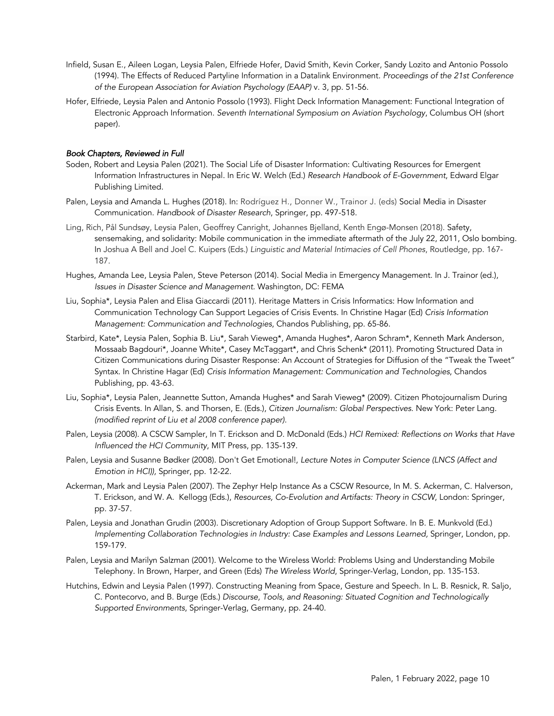- Infield, Susan E., Aileen Logan, Leysia Palen, Elfriede Hofer, David Smith, Kevin Corker, Sandy Lozito and Antonio Possolo (1994). The Effects of Reduced Partyline Information in a Datalink Environment. *Proceedings of the 21st Conference of the European Association for Aviation Psychology (EAAP)* v. 3, pp. 51-56.
- Hofer, Elfriede, Leysia Palen and Antonio Possolo (1993). Flight Deck Information Management: Functional Integration of Electronic Approach Information*. Seventh International Symposium on Aviation Psychology*, Columbus OH (short paper).

### *Book Chapters, Reviewed in Full*

- Soden, Robert and Leysia Palen (2021). The Social Life of Disaster Information: Cultivating Resources for Emergent Information Infrastructures in Nepal. In Eric W. Welch (Ed.) *Research Handbook of E-Government*, Edward Elgar Publishing Limited.
- Palen, Leysia and Amanda L. Hughes (2018). In: Rodríguez H., Donner W., Trainor J. (eds) Social Media in Disaster Communication. *Handbook of Disaster Research*, Springer, pp. 497-518.
- Ling, Rich, Pål Sundsøy, Leysia Palen, Geoffrey Canright, Johannes Bjelland, Kenth Engø-Monsen (2018). Safety, sensemaking, and solidarity: Mobile communication in the immediate aftermath of the July 22, 2011, Oslo bombing. In Joshua A Bell and Joel C. Kuipers (Eds.) *Linguistic and Material Intimacies of Cell Phones*, Routledge, pp. 167- 187.
- Hughes, Amanda Lee, Leysia Palen, Steve Peterson (2014). Social Media in Emergency Management. In J. Trainor (ed.), *Issues in Disaster Science and Management.* Washington, DC: FEMA
- Liu, Sophia\*, Leysia Palen and Elisa Giaccardi (2011). Heritage Matters in Crisis Informatics: How Information and Communication Technology Can Support Legacies of Crisis Events. In Christine Hagar (Ed) *Crisis Information Management: Communication and Technologies*, Chandos Publishing, pp. 65-86.
- Starbird, Kate\*, Leysia Palen, Sophia B. Liu\*, Sarah Vieweg\*, Amanda Hughes\*, Aaron Schram\*, Kenneth Mark Anderson, Mossaab Bagdouri\*, Joanne White\*, Casey McTaggart\*, and Chris Schenk\* (2011). Promoting Structured Data in Citizen Communications during Disaster Response: An Account of Strategies for Diffusion of the "Tweak the Tweet" Syntax. In Christine Hagar (Ed) *Crisis Information Management: Communication and Technologies*, Chandos Publishing, pp. 43-63.
- Liu, Sophia\*, Leysia Palen, Jeannette Sutton, Amanda Hughes\* and Sarah Vieweg\* (2009). Citizen Photojournalism During Crisis Events. In Allan, S. and Thorsen, E. (Eds.), *Citizen Journalism: Global Perspectives*. New York: Peter Lang. *(modified reprint of Liu et al 2008 conference paper).*
- Palen, Leysia (2008). A CSCW Sampler, In T. Erickson and D. McDonald (Eds.) *HCI Remixed: Reflections on Works that Have Influenced the HCI Community*, MIT Press, pp. 135-139.
- Palen, Leysia and Susanne Bødker (2008). Don't Get Emotional!, *Lecture Notes in Computer Science (LNCS (Affect and Emotion in HCI)),* Springer, pp. 12-22.
- Ackerman, Mark and Leysia Palen (2007). The Zephyr Help Instance As a CSCW Resource, In M. S. Ackerman, C. Halverson, T. Erickson, and W. A. Kellogg (Eds.), *Resources, Co-Evolution and Artifacts: Theory in CSCW*, London: Springer, pp. 37-57.
- Palen, Leysia and Jonathan Grudin (2003). Discretionary Adoption of Group Support Software. In B. E. Munkvold (Ed.) *Implementing Collaboration Technologies in Industry: Case Examples and Lessons Learned,* Springer, London, pp. 159-179.
- Palen, Leysia and Marilyn Salzman (2001). Welcome to the Wireless World: Problems Using and Understanding Mobile Telephony. In Brown, Harper, and Green (Eds) *The Wireless World*, Springer-Verlag, London, pp. 135-153.
- Hutchins, Edwin and Leysia Palen (1997). Constructing Meaning from Space, Gesture and Speech. In L. B. Resnick, R. Saljo, C. Pontecorvo, and B. Burge (Eds.) *Discourse, Tools, and Reasoning: Situated Cognition and Technologically Supported Environments*, Springer-Verlag, Germany, pp. 24-40.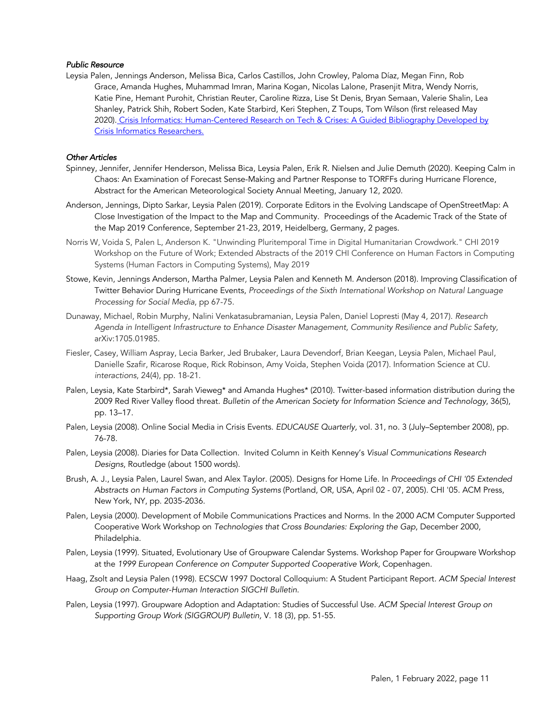### *Public Resource*

Leysia Palen, Jennings Anderson, Melissa Bica, Carlos Castillos, John Crowley, Paloma Díaz, Megan Finn, Rob Grace, Amanda Hughes, Muhammad Imran, Marina Kogan, Nicolas Lalone, Prasenjit Mitra, Wendy Norris, Katie Pine, Hemant Purohit, Christian Reuter, Caroline Rizza, Lise St Denis, Bryan Semaan, Valerie Shalin, Lea Shanley, Patrick Shih, Robert Soden, Kate Starbird, Keri Stephen, Z Toups, Tom Wilson (first released May 2020). Crisis Informatics: Human-Centered Research on Tech & Crises: A Guided Bibliography Developed by Crisis Informatics Researchers.

### *Other Articles*

- Spinney, Jennifer, Jennifer Henderson, Melissa Bica, Leysia Palen, Erik R. Nielsen and Julie Demuth (2020). Keeping Calm in Chaos: An Examination of Forecast Sense-Making and Partner Response to TORFFs during Hurricane Florence, Abstract for the American Meteorological Society Annual Meeting, January 12, 2020.
- Anderson, Jennings, Dipto Sarkar, Leysia Palen (2019). Corporate Editors in the Evolving Landscape of OpenStreetMap: A Close Investigation of the Impact to the Map and Community. Proceedings of the Academic Track of the State of the Map 2019 Conference, September 21-23, 2019, Heidelberg, Germany, 2 pages.
- Norris W, Voida S, Palen L, Anderson K. "Unwinding Pluritemporal Time in Digital Humanitarian Crowdwork." CHI 2019 Workshop on the Future of Work; Extended Abstracts of the 2019 CHI Conference on Human Factors in Computing Systems (Human Factors in Computing Systems), May 2019
- Stowe, Kevin, Jennings Anderson, Martha Palmer, Leysia Palen and Kenneth M. Anderson (2018). Improving Classification of Twitter Behavior During Hurricane Events, *Proceedings of the Sixth International Workshop on Natural Language Processing for Social Media*, pp 67-75.
- Dunaway, Michael, Robin Murphy, Nalini Venkatasubramanian, Leysia Palen, Daniel Lopresti (May 4, 2017). *Research Agenda in Intelligent Infrastructure to Enhance Disaster Management, Community Resilience and Public Safety,*  arXiv:1705.01985.
- Fiesler, Casey, William Aspray, Lecia Barker, Jed Brubaker, Laura Devendorf, Brian Keegan, Leysia Palen, Michael Paul, Danielle Szafir, Ricarose Roque, Rick Robinson, Amy Voida, Stephen Voida (2017). Information Science at CU. *interactions*, 24(4), pp. 18-21.
- Palen, Leysia, Kate Starbird\*, Sarah Vieweg\* and Amanda Hughes\* (2010). Twitter-based information distribution during the 2009 Red River Valley flood threat. *Bulletin of the American Society for Information Science and Technology*, 36(5), pp. 13–17.
- Palen, Leysia (2008). Online Social Media in Crisis Events. *EDUCAUSE Quarterly,* vol. 31, no. 3 (July–September 2008), pp. 76-78.
- Palen, Leysia (2008). Diaries for Data Collection. Invited Column in Keith Kenney's *Visual Communications Research Designs*, Routledge (about 1500 words).
- Brush, A. J., Leysia Palen, Laurel Swan, and Alex Taylor. (2005). Designs for Home Life. In *Proceedings of CHI '05 Extended Abstracts on Human Factors in Computing Systems* (Portland, OR, USA, April 02 - 07, 2005). CHI '05. ACM Press, New York, NY, pp. 2035-2036.
- Palen, Leysia (2000). Development of Mobile Communications Practices and Norms. In the 2000 ACM Computer Supported Cooperative Work Workshop on *Technologies that Cross Boundaries: Exploring the Gap*, December 2000, Philadelphia.
- Palen, Leysia (1999). Situated, Evolutionary Use of Groupware Calendar Systems. Workshop Paper for Groupware Workshop at the *1999 European Conference on Computer Supported Cooperative Work,* Copenhagen.
- Haag, Zsolt and Leysia Palen (1998). ECSCW 1997 Doctoral Colloquium: A Student Participant Report*. ACM Special Interest Group on Computer-Human Interaction SIGCHI Bulletin*.
- Palen, Leysia (1997). Groupware Adoption and Adaptation: Studies of Successful Use. *ACM Special Interest Group on Supporting Group Work (SIGGROUP) Bulletin,* V. 18 (3), pp. 51-55.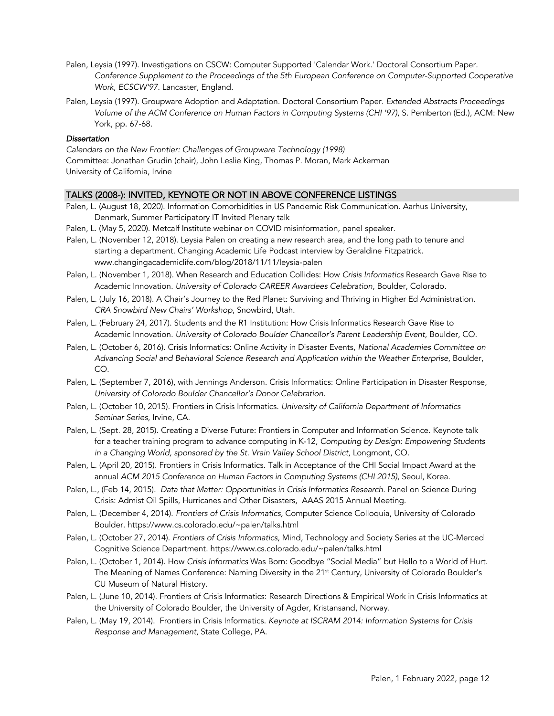- Palen, Leysia (1997). Investigations on CSCW: Computer Supported 'Calendar Work.' Doctoral Consortium Paper. *Conference Supplement to the Proceedings of the 5th European Conference on Computer-Supported Cooperative Work, ECSCW'97*. Lancaster, England.
- Palen, Leysia (1997). Groupware Adoption and Adaptation. Doctoral Consortium Paper*. Extended Abstracts Proceedings Volume of the ACM Conference on Human Factors in Computing Systems (CHI '97)*, S. Pemberton (Ed.), ACM: New York, pp. 67-68.

# *Dissertation*

*Calendars on the New Frontier: Challenges of Groupware Technology (1998)* Committee: Jonathan Grudin (chair), John Leslie King, Thomas P. Moran, Mark Ackerman University of California, Irvine

# TALKS (2008-): INVITED, KEYNOTE OR NOT IN ABOVE CONFERENCE LISTINGS

- Palen, L. (August 18, 2020). Information Comorbidities in US Pandemic Risk Communication. Aarhus University, Denmark, Summer Participatory IT Invited Plenary talk
- Palen, L. (May 5, 2020). Metcalf Institute webinar on COVID misinformation, panel speaker.
- Palen, L. (November 12, 2018). Leysia Palen on creating a new research area, and the long path to tenure and starting a department. Changing Academic Life Podcast interview by Geraldine Fitzpatrick. www.changingacademiclife.com/blog/2018/11/11/leysia-palen
- Palen, L. (November 1, 2018). When Research and Education Collides: How *Crisis Informatics* Research Gave Rise to Academic Innovation. *University of Colorado CAREER Awardees Celebration,* Boulder, Colorado.
- Palen, L. (July 16, 2018). A Chair's Journey to the Red Planet: Surviving and Thriving in Higher Ed Administration. *CRA Snowbird New Chairs' Workshop*, Snowbird, Utah.
- Palen, L. (February 24, 2017). Students and the R1 Institution: How Crisis Informatics Research Gave Rise to Academic Innovation. *University of Colorado Boulder Chancellor's Parent Leadership Event*, Boulder, CO.
- Palen, L. (October 6, 2016). Crisis Informatics: Online Activity in Disaster Events, *National Academies Committee on Advancing Social and Behavioral Science Research and Application within the Weather Enterprise,* Boulder, CO.
- Palen, L. (September 7, 2016), with Jennings Anderson. Crisis Informatics: Online Participation in Disaster Response, *University of Colorado Boulder Chancellor's Donor Celebration.*
- Palen, L. (October 10, 2015). Frontiers in Crisis Informatics. *University of California Department of Informatics Seminar Series*, Irvine, CA.
- Palen, L. (Sept. 28, 2015). Creating a Diverse Future: Frontiers in Computer and Information Science. Keynote talk for a teacher training program to advance computing in K-12, *Computing by Design: Empowering Students in a Changing World, sponsored by the St. Vrain Valley School District,* Longmont, CO.
- Palen, L. (April 20, 2015). Frontiers in Crisis Informatics. Talk in Acceptance of the CHI Social Impact Award at the annual *ACM 2015 Conference on Human Factors in Computing Systems (CHI 2015)*, Seoul, Korea.
- Palen, L., (Feb 14, 2015). *Data that Matter: Opportunities in Crisis Informatics Research.* Panel on Science During Crisis: Admist Oil Spills, Hurricanes and Other Disasters, AAAS 2015 Annual Meeting.
- Palen, L. (December 4, 2014). *Frontiers of Crisis Informatics,* Computer Science Colloquia, University of Colorado Boulder. https://www.cs.colorado.edu/~palen/talks.html
- Palen, L. (October 27, 2014). *Frontiers of Crisis Informatics,* Mind, Technology and Society Series at the UC-Merced Cognitive Science Department. https://www.cs.colorado.edu/~palen/talks.html
- Palen, L. (October 1, 2014). How *Crisis Informatics* Was Born: Goodbye "Social Media" but Hello to a World of Hurt. The Meaning of Names Conference: Naming Diversity in the 21<sup>st</sup> Century, University of Colorado Boulder's CU Museum of Natural History.
- Palen, L. (June 10, 2014). Frontiers of Crisis Informatics: Research Directions & Empirical Work in Crisis Informatics at the University of Colorado Boulder, the University of Agder, Kristansand, Norway.
- Palen, L. (May 19, 2014). Frontiers in Crisis Informatics. *Keynote at ISCRAM 2014: Information Systems for Crisis Response and Management,* State College, PA.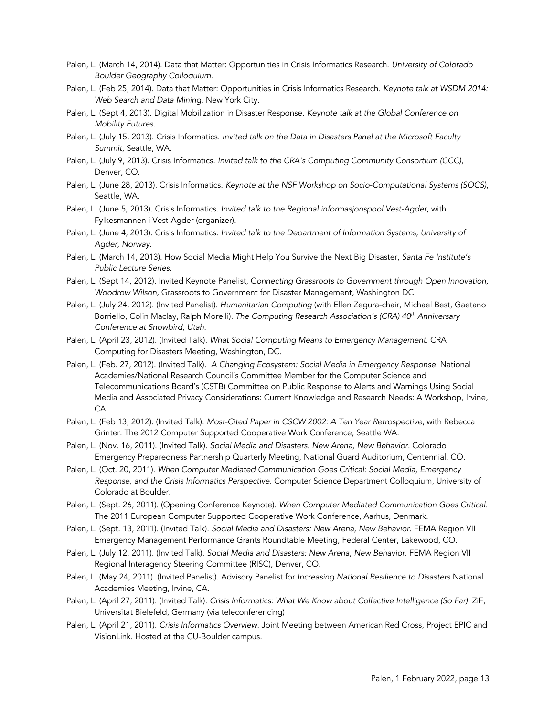- Palen, L. (March 14, 2014). Data that Matter: Opportunities in Crisis Informatics Research. *University of Colorado Boulder Geography Colloquium*.
- Palen, L. (Feb 25, 2014). Data that Matter: Opportunities in Crisis Informatics Research. *Keynote talk at WSDM 2014: Web Search and Data Mining*, New York City.
- Palen, L. (Sept 4, 2013). Digital Mobilization in Disaster Response. *Keynote talk at the Global Conference on Mobility Futures.*
- Palen, L. (July 15, 2013). Crisis Informatics. *Invited talk on the Data in Disasters Panel at the Microsoft Faculty Summit*, Seattle, WA.
- Palen, L. (July 9, 2013). Crisis Informatics. *Invited talk to the CRA's Computing Community Consortium (CCC)*, Denver, CO.
- Palen, L. (June 28, 2013). Crisis Informatics. *Keynote at the NSF Workshop on Socio-Computational Systems (SOCS)*, Seattle, WA.
- Palen, L. (June 5, 2013). Crisis Informatics. *Invited talk to the Regional informasjonspool Vest-Agder,* with Fylkesmannen i Vest-Agder (organizer).
- Palen, L. (June 4, 2013). Crisis Informatics. *Invited talk to the Department of Information Systems, University of Agder, Norway*.
- Palen, L. (March 14, 2013). How Social Media Might Help You Survive the Next Big Disaster, *Santa Fe Institute's Public Lecture Series*.
- Palen, L. (Sept 14, 2012). Invited Keynote Panelist, C*onnecting Grassroots to Government through Open Innovation, Woodrow Wilson,* Grassroots to Government for Disaster Management, Washington DC.
- Palen, L. (July 24, 2012). (Invited Panelist). *Humanitarian Computing* (with Ellen Zegura-chair, Michael Best, Gaetano Borriello, Colin Maclay, Ralph Morelli). *The Computing Research Association's (CRA) 40th Anniversary Conference at Snowbird, Utah*.
- Palen, L. (April 23, 2012). (Invited Talk). *What Social Computing Means to Emergency Management.* CRA Computing for Disasters Meeting, Washington, DC.
- Palen, L. (Feb. 27, 2012). (Invited Talk). *A Changing Ecosystem: Social Media in Emergency Response.* National Academies/National Research Council's Committee Member for the Computer Science and Telecommunications Board's (CSTB) Committee on Public Response to Alerts and Warnings Using Social Media and Associated Privacy Considerations: Current Knowledge and Research Needs: A Workshop, Irvine, CA.
- Palen, L. (Feb 13, 2012). (Invited Talk). *Most-Cited Paper in CSCW 2002: A Ten Year Retrospective*, with Rebecca Grinter. The 2012 Computer Supported Cooperative Work Conference, Seattle WA.
- Palen, L. (Nov. 16, 2011). (Invited Talk). *Social Media and Disasters: New Arena, New Behavior.* Colorado Emergency Preparedness Partnership Quarterly Meeting, National Guard Auditorium, Centennial, CO.
- Palen, L. (Oct. 20, 2011). *When Computer Mediated Communication Goes Critical*: *Social Media, Emergency Response, and the Crisis Informatics Perspective.* Computer Science Department Colloquium, University of Colorado at Boulder.
- Palen, L. (Sept. 26, 2011). (Opening Conference Keynote). *When Computer Mediated Communication Goes Critical.*  The 2011 European Computer Supported Cooperative Work Conference, Aarhus, Denmark.
- Palen, L. (Sept. 13, 2011). (Invited Talk). *Social Media and Disasters: New Arena, New Behavior.* FEMA Region VII Emergency Management Performance Grants Roundtable Meeting, Federal Center, Lakewood, CO.
- Palen, L. (July 12, 2011). (Invited Talk). *Social Media and Disasters: New Arena, New Behavior.* FEMA Region VII Regional Interagency Steering Committee (RISC), Denver, CO.
- Palen, L. (May 24, 2011). (Invited Panelist). Advisory Panelist for *Increasing National Resilience to Disasters* National Academies Meeting, Irvine, CA.
- Palen, L. (April 27, 2011). (Invited Talk). *Crisis Informatics: What We Know about Collective Intelligence (So Far).* ZiF, Universitat Bielefeld, Germany (via teleconferencing)
- Palen, L. (April 21, 2011). *Crisis Informatics Overview.* Joint Meeting between American Red Cross, Project EPIC and VisionLink. Hosted at the CU-Boulder campus.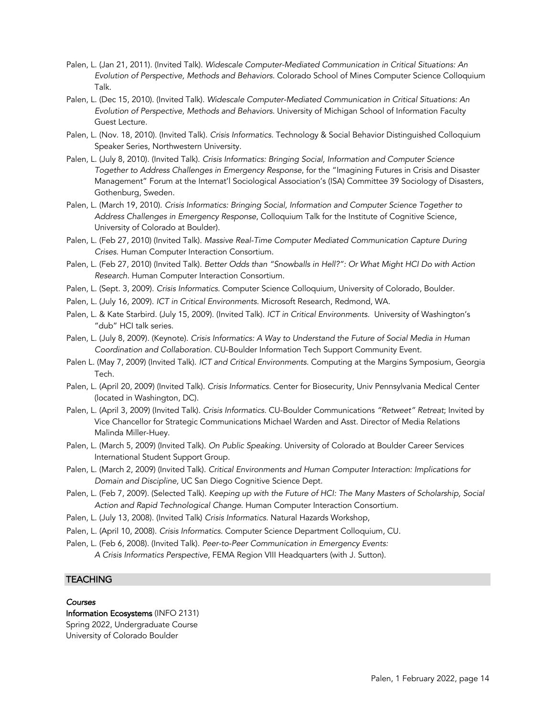- Palen, L. (Jan 21, 2011). (Invited Talk). *Widescale Computer-Mediated Communication in Critical Situations: An Evolution of Perspective, Methods and Behaviors.* Colorado School of Mines Computer Science Colloquium Talk.
- Palen, L. (Dec 15, 2010). (Invited Talk). *Widescale Computer-Mediated Communication in Critical Situations: An Evolution of Perspective, Methods and Behaviors.* University of Michigan School of Information Faculty Guest Lecture.
- Palen, L. (Nov. 18, 2010). (Invited Talk). *Crisis Informatics.* Technology & Social Behavior Distinguished Colloquium Speaker Series, Northwestern University.
- Palen, L. (July 8, 2010). (Invited Talk). *Crisis Informatics: Bringing Social, Information and Computer Science Together to Address Challenges in Emergency Response*, for the "Imagining Futures in Crisis and Disaster Management" Forum at the Internat'l Sociological Association's (ISA) Committee 39 Sociology of Disasters, Gothenburg, Sweden.
- Palen, L. (March 19, 2010). *Crisis Informatics: Bringing Social, Information and Computer Science Together to Address Challenges in Emergency Response*, Colloquium Talk for the Institute of Cognitive Science, University of Colorado at Boulder).
- Palen, L. (Feb 27, 2010) (Invited Talk). *Massive Real-Time Computer Mediated Communication Capture During Crises*. Human Computer Interaction Consortium.
- Palen, L. (Feb 27, 2010) (Invited Talk). *Better Odds than "Snowballs in Hell?": Or What Might HCI Do with Action Research.* Human Computer Interaction Consortium.
- Palen, L. (Sept. 3, 2009). *Crisis Informatics*. Computer Science Colloquium, University of Colorado, Boulder.
- Palen, L. (July 16, 2009). *ICT in Critical Environments.* Microsoft Research, Redmond, WA.
- Palen, L. & Kate Starbird. (July 15, 2009). (Invited Talk). *ICT in Critical Environments.* University of Washington's "dub" HCI talk series.
- Palen, L. (July 8, 2009). (Keynote). *Crisis Informatics: A Way to Understand the Future of Social Media in Human Coordination and Collaboration.* CU-Boulder Information Tech Support Community Event.
- Palen L. (May 7, 2009) (Invited Talk). *ICT and Critical Environments.* Computing at the Margins Symposium, Georgia Tech.
- Palen, L. (April 20, 2009) (Invited Talk). *Crisis Informatics.* Center for Biosecurity, Univ Pennsylvania Medical Center (located in Washington, DC).
- Palen, L. (April 3, 2009) (Invited Talk). *Crisis Informatics.* CU-Boulder Communications *"Retweet" Retreat*; Invited by Vice Chancellor for Strategic Communications Michael Warden and Asst. Director of Media Relations Malinda Miller-Huey.
- Palen, L. (March 5, 2009) (Invited Talk). *On Public Speaking.* University of Colorado at Boulder Career Services International Student Support Group.
- Palen, L. (March 2, 2009) (Invited Talk). *Critical Environments and Human Computer Interaction: Implications for Domain and Discipline,* UC San Diego Cognitive Science Dept.
- Palen, L. (Feb 7, 2009). (Selected Talk). *Keeping up with the Future of HCI: The Many Masters of Scholarship, Social Action and Rapid Technological Change*. Human Computer Interaction Consortium.
- Palen, L. (July 13, 2008). (Invited Talk) *Crisis Informatics.* Natural Hazards Workshop,
- Palen, L. (April 10, 2008). *Crisis Informatics.* Computer Science Department Colloquium, CU.
- Palen, L. (Feb 6, 2008). (Invited Talk). *Peer-to-Peer Communication in Emergency Events: A Crisis Informatics Perspective*, FEMA Region VIII Headquarters (with J. Sutton).

# **TEACHING**

### *Courses*

Information Ecosystems (INFO 2131) Spring 2022, Undergraduate Course University of Colorado Boulder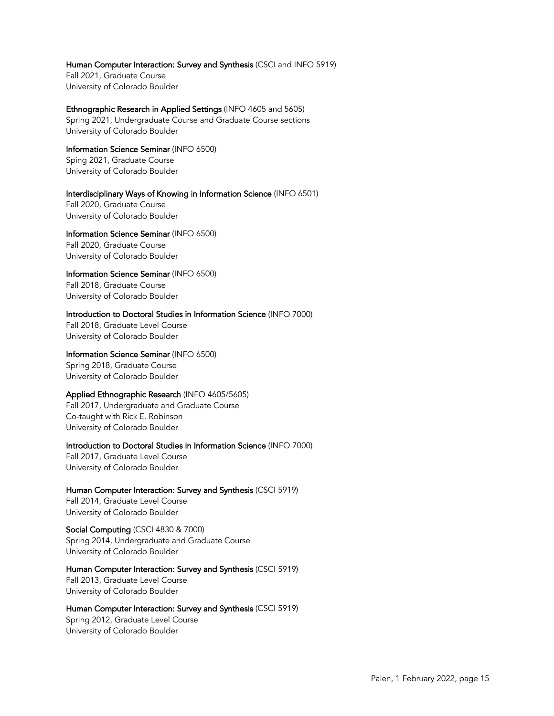Human Computer Interaction: Survey and Synthesis (CSCI and INFO 5919)

Fall 2021, Graduate Course University of Colorado Boulder

Ethnographic Research in Applied Settings (INFO 4605 and 5605) Spring 2021, Undergraduate Course and Graduate Course sections University of Colorado Boulder

Information Science Seminar (INFO 6500) Sping 2021, Graduate Course University of Colorado Boulder

Interdisciplinary Ways of Knowing in Information Science (INFO 6501) Fall 2020, Graduate Course

University of Colorado Boulder Information Science Seminar (INFO 6500)

Fall 2020, Graduate Course University of Colorado Boulder

Information Science Seminar (INFO 6500) Fall 2018, Graduate Course

University of Colorado Boulder

Introduction to Doctoral Studies in Information Science (INFO 7000) Fall 2018, Graduate Level Course University of Colorado Boulder

Information Science Seminar (INFO 6500) Spring 2018, Graduate Course University of Colorado Boulder

Applied Ethnographic Research (INFO 4605/5605)

Fall 2017, Undergraduate and Graduate Course Co-taught with Rick E. Robinson University of Colorado Boulder

Introduction to Doctoral Studies in Information Science (INFO 7000) Fall 2017, Graduate Level Course University of Colorado Boulder

Human Computer Interaction: Survey and Synthesis (CSCI 5919)

Fall 2014, Graduate Level Course University of Colorado Boulder

Social Computing (CSCI 4830 & 7000) Spring 2014, Undergraduate and Graduate Course University of Colorado Boulder

Human Computer Interaction: Survey and Synthesis (CSCI 5919) Fall 2013, Graduate Level Course University of Colorado Boulder

Human Computer Interaction: Survey and Synthesis (CSCI 5919) Spring 2012, Graduate Level Course University of Colorado Boulder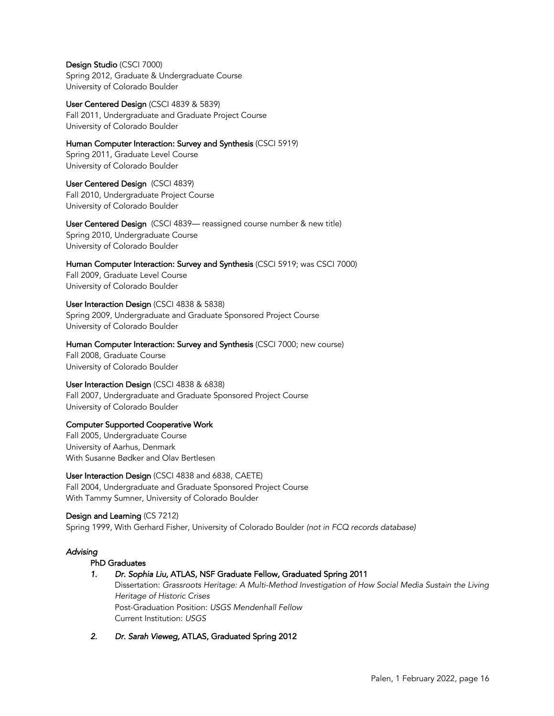Design Studio (CSCI 7000) Spring 2012, Graduate & Undergraduate Course University of Colorado Boulder

User Centered Design (CSCI 4839 & 5839) Fall 2011, Undergraduate and Graduate Project Course University of Colorado Boulder

Human Computer Interaction: Survey and Synthesis (CSCI 5919) Spring 2011, Graduate Level Course University of Colorado Boulder

User Centered Design (CSCI 4839) Fall 2010, Undergraduate Project Course University of Colorado Boulder

User Centered Design (CSCI 4839— reassigned course number & new title) Spring 2010, Undergraduate Course University of Colorado Boulder

Human Computer Interaction: Survey and Synthesis (CSCI 5919; was CSCI 7000) Fall 2009, Graduate Level Course University of Colorado Boulder

# User Interaction Design(CSCI 4838 & 5838)

Spring 2009, Undergraduate and Graduate Sponsored Project Course University of Colorado Boulder

Human Computer Interaction: Survey and Synthesis (CSCI 7000; new course)

Fall 2008, Graduate Course University of Colorado Boulder

User Interaction Design (CSCI 4838 & 6838)

Fall 2007, Undergraduate and Graduate Sponsored Project Course University of Colorado Boulder

# Computer Supported Cooperative Work

Fall 2005, Undergraduate Course University of Aarhus, Denmark With Susanne Bødker and Olav Bertlesen

User Interaction Design (CSCI 4838 and 6838, CAETE) Fall 2004, Undergraduate and Graduate Sponsored Project Course With Tammy Sumner, University of Colorado Boulder

Design and Learning (CS 7212) Spring 1999, With Gerhard Fisher, University of Colorado Boulder *(not in FCQ records database)*

# *Advising*

# PhD Graduates

# *1. Dr. Sophia Liu,* ATLAS,NSF Graduate Fellow*,* Graduated Spring 2011

Dissertation: *Grassroots Heritage: A Multi-Method Investigation of How Social Media Sustain the Living Heritage of Historic Crises* Post-Graduation Position: *USGS Mendenhall Fellow* Current Institution: *USGS*

*2. Dr. Sarah Vieweg,* ATLAS, Graduated Spring 2012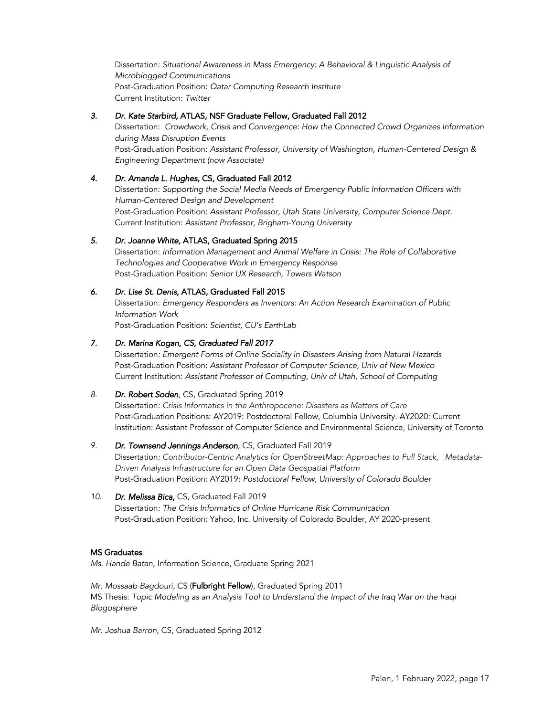Dissertation: *Situational Awareness in Mass Emergency: A Behavioral & Linguistic Analysis of Microblogged Communications* Post-Graduation Position: *Qatar Computing Research Institute* Current Institution: *Twitter*

# *3. Dr. Kate Starbird,* ATLAS, NSF Graduate Fellow, Graduated Fall 2012

Dissertation: *Crowdwork, Crisis and Convergence: How the Connected Crowd Organizes Information during Mass Disruption Events* Post-Graduation Position: *Assistant Professor, University of Washington, Human-Centered Design & Engineering Department (now Associate)*

# *4. Dr. Amanda L. Hughes,* CS, Graduated Fall 2012

Dissertation: *Supporting the Social Media Needs of Emergency Public Information Officers with Human-Centered Design and Development* Post-Graduation Position: *Assistant Professor, Utah State University, Computer Science Dept.*  Current Institution: *Assistant Professor, Brigham-Young University*

# *5. Dr. Joanne White,* ATLAS, Graduated Spring 2015

Dissertation: *Information Management and Animal Welfare in Crisis: The Role of Collaborative Technologies and Cooperative Work in Emergency Response* Post-Graduation Position: *Senior UX Research, Towers Watson*

# *6. Dr. Lise St. Denis,* ATLAS, Graduated Fall 2015

Dissertation: *Emergency Responders as Inventors: An Action Research Examination of Public Information Work*

Post-Graduation Position: *Scientist, CU's EarthLab*

# *7. Dr. Marina Kogan, CS, Graduated Fall 2017*

Dissertation*: Emergent Forms of Online Sociality in Disasters Arising from Natural Hazards*  Post-Graduation Position: *Assistant Professor of Computer Science, Univ of New Mexico* Current Institution: *Assistant Professor of Computing, Univ of Utah, School of Computing* 

# *8. Dr. Robert Soden,* CS, Graduated Spring 2019

Dissertation*: Crisis Informatics in the Anthropocene: Disasters as Matters of Care* Post-Graduation Positions: AY2019: Postdoctoral Fellow, Columbia University. AY2020: Current Institution: Assistant Professor of Computer Science and Environmental Science, University of Toronto

# *9. Dr. Townsend Jennings Anderson,* CS, Graduated Fall 2019

Dissertation*: Contributor-Centric Analytics for OpenStreetMap: Approaches to Full Stack, Metadata-Driven Analysis Infrastructure for an Open Data Geospatial Platform* Post-Graduation Position: AY2019: *Postdoctoral Fellow, University of Colorado Boulder*

# *10. Dr. Melissa Bica,* CS, Graduated Fall 2019

Dissertation*: The Crisis Informatics of Online Hurricane Risk Communication* Post-Graduation Position: Yahoo, Inc. University of Colorado Boulder, AY 2020-present

# MS Graduates

*Ms. Hande Batan,* Information Science, Graduate Spring 2021

*Mr. Mossaab Bagdouri,* CS (Fulbright Fellow), Graduated Spring 2011 MS Thesis: *Topic Modeling as an Analysis Tool to Understand the Impact of the Iraq War on the Iraqi Blogosphere*

*Mr. Joshua Barron,* CS, Graduated Spring 2012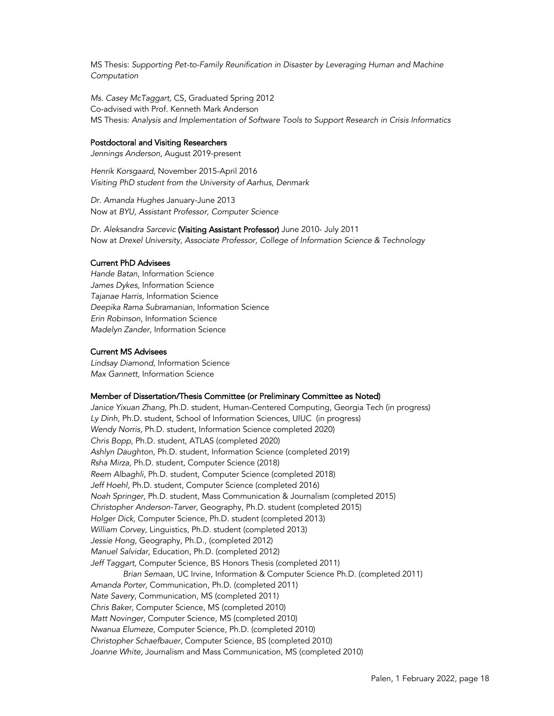MS Thesis: *Supporting Pet-to-Family Reunification in Disaster by Leveraging Human and Machine Computation*

*Ms. Casey McTaggart,* CS, Graduated Spring 2012 Co-advised with Prof. Kenneth Mark Anderson MS Thesis: *Analysis and Implementation of Software Tools to Support Research in Crisis Informatics*

#### Postdoctoral and Visiting Researchers

*Jennings Anderson,* August 2019-present

*Henrik Korsgaard,* November 2015-April 2016 *Visiting PhD student from the University of Aarhus, Denmark*

*Dr. Amanda Hughes* January-June 2013 Now at *BYU, Assistant Professor, Computer Science*

*Dr. Aleksandra Sarcevic* (Visiting Assistant Professor) June 2010- July 2011 Now at *Drexel University, Associate Professor, College of Information Science & Technology*

### Current PhD Advisees

*Hande Batan*, Information Science *James Dykes*, Information Science *Tajanae Harris*, Information Science *Deepika Rama Subramanian*, Information Science *Erin Robinson*, Information Science *Madelyn Zander*, Information Science

### Current MS Advisees

*Lindsay Diamond*, Information Science *Max Gannett,* Information Science

#### Member of Dissertation/Thesis Committee (or Preliminary Committee as Noted)

*Janice Yixuan Zhang,* Ph.D. student, Human-Centered Computing, Georgia Tech (in progress) *Ly Dinh,* Ph.D. student, School of Information Sciences, UIUC (in progress) *Wendy Norris,* Ph.D. student, Information Science completed 2020) *Chris Bopp,* Ph.D. student, ATLAS (completed 2020) *Ashlyn Daughton,* Ph.D. student, Information Science (completed 2019) *Rsha Mirza,* Ph.D. student, Computer Science (2018) *Reem Albaghli,* Ph.D. student, Computer Science (completed 2018) *Jeff Hoehl,* Ph.D. student, Computer Science (completed 2016) *Noah Springer,* Ph.D. student, Mass Communication & Journalism (completed 2015) *Christopher Anderson-Tarver,* Geography, Ph.D. student (completed 2015) *Holger Dick,* Computer Science, Ph.D. student (completed 2013) *William Corvey,* Linguistics, Ph.D. student (completed 2013) *Jessie Hong,* Geography, Ph.D., (completed 2012) *Manuel Salvidar,* Education, Ph.D. (completed 2012) *Jeff Taggart,* Computer Science, BS Honors Thesis (completed 2011) *Brian Semaan,* UC Irvine, Information & Computer Science Ph.D. (completed 2011) *Amanda Porter,* Communication, Ph.D. (completed 2011) *Nate Savery*, Communication, MS (completed 2011) *Chris Baker,* Computer Science, MS (completed 2010) *Matt Novinger,* Computer Science, MS (completed 2010) *Nwanua Elumeze,* Computer Science, Ph.D. (completed 2010) *Christopher Schaefbauer,* Computer Science, BS (completed 2010) *Joanne White,* Journalism and Mass Communication, MS (completed 2010)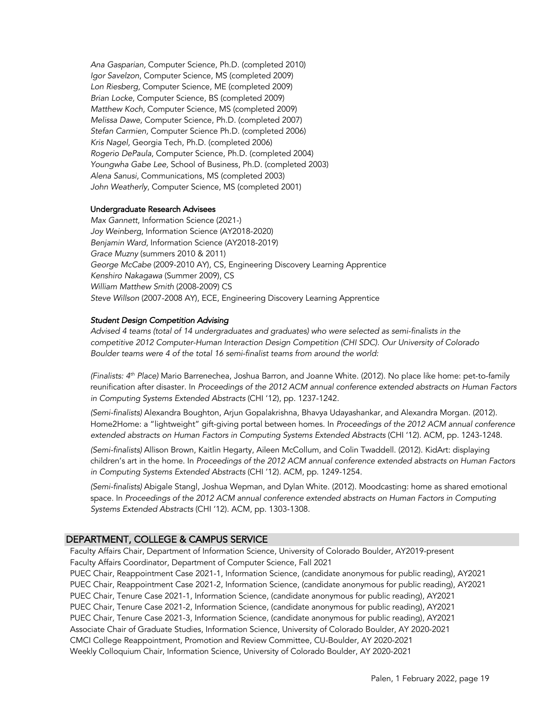*Ana Gasparian,* Computer Science, Ph.D. (completed 2010) *Igor Savelzon*, Computer Science, MS (completed 2009) *Lon Riesberg,* Computer Science, ME (completed 2009) *Brian Locke*, Computer Science, BS (completed 2009) *Matthew Koch,* Computer Science, MS (completed 2009) *Melissa Dawe*, Computer Science, Ph.D. (completed 2007) *Stefan Carmien,* Computer Science Ph.D. (completed 2006) *Kris Nagel,* Georgia Tech, Ph.D. (completed 2006) *Rogerio DePaula*, Computer Science, Ph.D. (completed 2004) *Youngwha Gabe Lee,* School of Business, Ph.D. (completed 2003) *Alena Sanusi,* Communications, MS (completed 2003) *John Weatherly*, Computer Science, MS (completed 2001)

### Undergraduate Research Advisees

*Max Gannett*, Information Science (2021-) *Joy Weinberg*, Information Science (AY2018-2020) *Benjamin Ward*, Information Science (AY2018-2019) *Grace Muzny* (summers 2010 & 2011) *George McCabe* (2009-2010 AY), CS, Engineering Discovery Learning Apprentice *Kenshiro Nakagawa* (Summer 2009), CS *William Matthew Smith* (2008-2009) CS *Steve Willson* (2007-2008 AY), ECE, Engineering Discovery Learning Apprentice

#### *Student Design Competition Advising*

*Advised 4 teams (total of 14 undergraduates and graduates) who were selected as semi-finalists in the competitive 2012 Computer-Human Interaction Design Competition (CHI SDC). Our University of Colorado Boulder teams were 4 of the total 16 semi-finalist teams from around the world:*

*(Finalists: 4th Place)* Mario Barrenechea, Joshua Barron, and Joanne White. (2012). No place like home: pet-to-family reunification after disaster. In *Proceedings of the 2012 ACM annual conference extended abstracts on Human Factors in Computing Systems Extended Abstracts* (CHI '12), pp. 1237-1242.

*(Semi-finalists)* Alexandra Boughton, Arjun Gopalakrishna, Bhavya Udayashankar, and Alexandra Morgan. (2012). Home2Home: a "lightweight" gift-giving portal between homes. In *Proceedings of the 2012 ACM annual conference extended abstracts on Human Factors in Computing Systems Extended Abstracts* (CHI '12). ACM, pp. 1243-1248.

*(Semi-finalists)* Allison Brown, Kaitlin Hegarty, Aileen McCollum, and Colin Twaddell. (2012). KidArt: displaying children's art in the home. In *Proceedings of the 2012 ACM annual conference extended abstracts on Human Factors in Computing Systems Extended Abstracts* (CHI '12). ACM, pp. 1249-1254.

*(Semi-finalists)* Abigale Stangl, Joshua Wepman, and Dylan White. (2012). Moodcasting: home as shared emotional space. In *Proceedings of the 2012 ACM annual conference extended abstracts on Human Factors in Computing Systems Extended Abstracts* (CHI '12). ACM, pp. 1303-1308.

### DEPARTMENT, COLLEGE & CAMPUS SERVICE

Faculty Affairs Chair, Department of Information Science, University of Colorado Boulder, AY2019-present Faculty Affairs Coordinator, Department of Computer Science, Fall 2021

PUEC Chair, Reappointment Case 2021-1, Information Science, (candidate anonymous for public reading), AY2021 PUEC Chair, Reappointment Case 2021-2, Information Science, (candidate anonymous for public reading), AY2021 PUEC Chair, Tenure Case 2021-1, Information Science, (candidate anonymous for public reading), AY2021 PUEC Chair, Tenure Case 2021-2, Information Science, (candidate anonymous for public reading), AY2021 PUEC Chair, Tenure Case 2021-3, Information Science, (candidate anonymous for public reading), AY2021 Associate Chair of Graduate Studies, Information Science, University of Colorado Boulder, AY 2020-2021 CMCI College Reappointment, Promotion and Review Committee, CU-Boulder, AY 2020-2021 Weekly Colloquium Chair, Information Science, University of Colorado Boulder, AY 2020-2021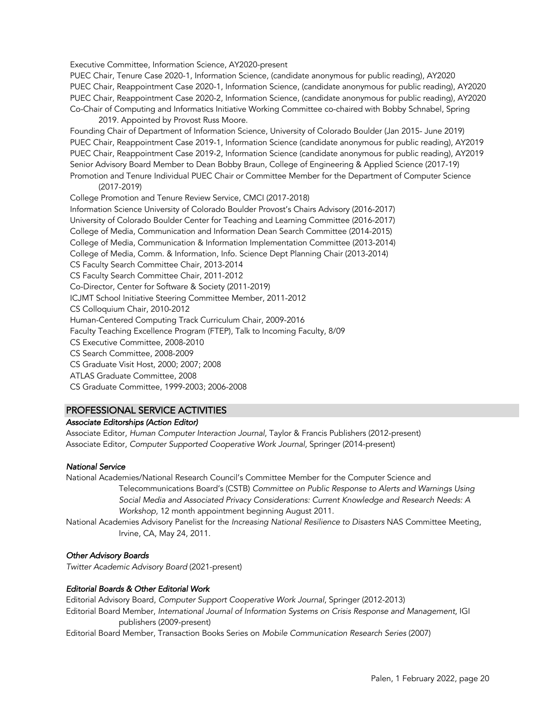Executive Committee, Information Science, AY2020-present

PUEC Chair, Tenure Case 2020-1, Information Science, (candidate anonymous for public reading), AY2020 PUEC Chair, Reappointment Case 2020-1, Information Science, (candidate anonymous for public reading), AY2020 PUEC Chair, Reappointment Case 2020-2, Information Science, (candidate anonymous for public reading), AY2020 Co-Chair of Computing and Informatics Initiative Working Committee co-chaired with Bobby Schnabel, Spring

2019. Appointed by Provost Russ Moore.

Founding Chair of Department of Information Science, University of Colorado Boulder (Jan 2015- June 2019) PUEC Chair, Reappointment Case 2019-1, Information Science (candidate anonymous for public reading), AY2019 PUEC Chair, Reappointment Case 2019-2, Information Science (candidate anonymous for public reading), AY2019 Senior Advisory Board Member to Dean Bobby Braun, College of Engineering & Applied Science (2017-19) Promotion and Tenure Individual PUEC Chair or Committee Member for the Department of Computer Science

(2017-2019)

College Promotion and Tenure Review Service, CMCI (2017-2018) Information Science University of Colorado Boulder Provost's Chairs Advisory (2016-2017) University of Colorado Boulder Center for Teaching and Learning Committee (2016-2017) College of Media, Communication and Information Dean Search Committee (2014-2015) College of Media, Communication & Information Implementation Committee (2013-2014) College of Media, Comm. & Information, Info. Science Dept Planning Chair (2013-2014) CS Faculty Search Committee Chair, 2013-2014 CS Faculty Search Committee Chair, 2011-2012 Co-Director, Center for Software & Society (2011-2019) ICJMT School Initiative Steering Committee Member, 2011-2012 CS Colloquium Chair, 2010-2012 Human-Centered Computing Track Curriculum Chair, 2009-2016 Faculty Teaching Excellence Program (FTEP), Talk to Incoming Faculty, 8/09 CS Executive Committee, 2008-2010 CS Search Committee, 2008-2009 CS Graduate Visit Host, 2000; 2007; 2008 ATLAS Graduate Committee, 2008 CS Graduate Committee, 1999-2003; 2006-2008

# PROFESSIONAL SERVICE ACTIVITIES

# *Associate Editorships (Action Editor)*

Associate Editor, *Human Computer Interaction Journal*, Taylor & Francis Publishers (2012-present) Associate Editor, *Computer Supported Cooperative Work Journal*, Springer (2014-present)

# *National Service*

National Academies/National Research Council's Committee Member for the Computer Science and Telecommunications Board's (CSTB) *Committee on Public Response to Alerts and Warnings Using Social Media and Associated Privacy Considerations: Current Knowledge and Research Needs: A Workshop,* 12 month appointment beginning August 2011.

National Academies Advisory Panelist for the *Increasing National Resilience to Disasters* NAS Committee Meeting, Irvine, CA, May 24, 2011.

# *Other Advisory Boards*

*Twitter Academic Advisory Board* (2021-present)

# *Editorial Boards & Other Editorial Work*

Editorial Advisory Board, *Computer Support Cooperative Work Journal*, Springer (2012-2013) Editorial Board Member, *International Journal of Information Systems on Crisis Response and Management*, IGI publishers (2009-present)

Editorial Board Member, Transaction Books Series on *Mobile Communication Research Series* (2007)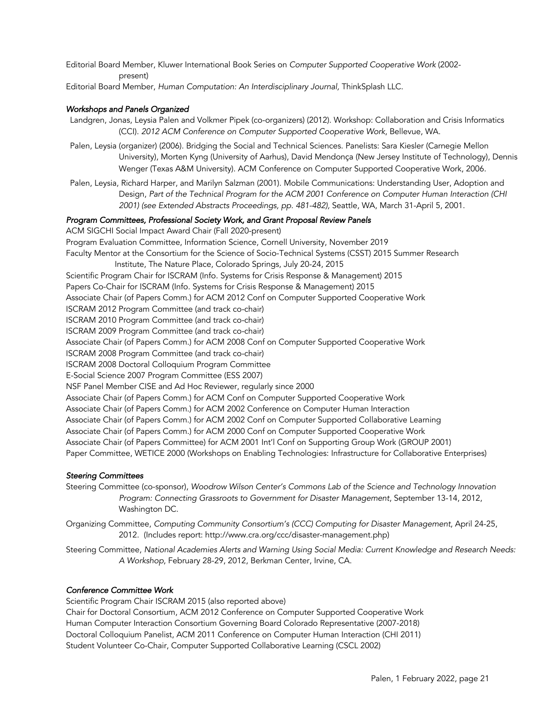Editorial Board Member, Kluwer International Book Series on *Computer Supported Cooperative Work* (2002 present)

Editorial Board Member, *Human Computation: An Interdisciplinary Journal,* ThinkSplash LLC.

# *Workshops and Panels Organized*

- Landgren, Jonas, Leysia Palen and Volkmer Pipek (co-organizers) (2012). Workshop: Collaboration and Crisis Informatics (CCI). *2012 ACM Conference on Computer Supported Cooperative Work*, Bellevue, WA.
- Palen, Leysia (organizer) (2006). Bridging the Social and Technical Sciences. Panelists: Sara Kiesler (Carnegie Mellon University), Morten Kyng (University of Aarhus), David Mendonça (New Jersey Institute of Technology), Dennis Wenger (Texas A&M University). ACM Conference on Computer Supported Cooperative Work, 2006.
- Palen, Leysia, Richard Harper, and Marilyn Salzman (2001). Mobile Communications: Understanding User, Adoption and Design, *Part of the Technical Program for the ACM 2001 Conference on Computer Human Interaction (CHI 2001) (see Extended Abstracts Proceedings, pp. 481-482),* Seattle, WA, March 31-April 5, 2001.

### *Program Committees, Professional Society Work, and Grant Proposal Review Panels*

ACM SIGCHI Social Impact Award Chair (Fall 2020-present) Program Evaluation Committee, Information Science, Cornell University, November 2019 Faculty Mentor at the Consortium for the Science of Socio-Technical Systems (CSST) 2015 Summer Research Institute, The Nature Place, Colorado Springs, July 20-24, 2015 Scientific Program Chair for ISCRAM (Info. Systems for Crisis Response & Management) 2015 Papers Co-Chair for ISCRAM (Info. Systems for Crisis Response & Management) 2015 Associate Chair (of Papers Comm.) for ACM 2012 Conf on Computer Supported Cooperative Work ISCRAM 2012 Program Committee (and track co-chair) ISCRAM 2010 Program Committee (and track co-chair) ISCRAM 2009 Program Committee (and track co-chair) Associate Chair (of Papers Comm.) for ACM 2008 Conf on Computer Supported Cooperative Work ISCRAM 2008 Program Committee (and track co-chair) ISCRAM 2008 Doctoral Colloquium Program Committee E-Social Science 2007 Program Committee (ESS 2007) NSF Panel Member CISE and Ad Hoc Reviewer, regularly since 2000 Associate Chair (of Papers Comm.) for ACM Conf on Computer Supported Cooperative Work Associate Chair (of Papers Comm.) for ACM 2002 Conference on Computer Human Interaction Associate Chair (of Papers Comm.) for ACM 2002 Conf on Computer Supported Collaborative Learning Associate Chair (of Papers Comm.) for ACM 2000 Conf on Computer Supported Cooperative Work Associate Chair (of Papers Committee) for ACM 2001 Int'l Conf on Supporting Group Work (GROUP 2001) Paper Committee, WETICE 2000 (Workshops on Enabling Technologies: Infrastructure for Collaborative Enterprises)

# *Steering Committees*

Steering Committee (co-sponsor), *Woodrow Wilson Center's Commons Lab of the Science and Technology Innovation Program: Connecting Grassroots to Government for Disaster Management*, September 13-14, 2012, Washington DC.

Organizing Committee, *Computing Community Consortium's (CCC) Computing for Disaster Management*, April 24-25, 2012. (Includes report: http://www.cra.org/ccc/disaster-management.php)

Steering Committee, *National Academies Alerts and Warning Using Social Media: Current Knowledge and Research Needs: A Workshop*, February 28-29, 2012, Berkman Center, Irvine, CA.

# *Conference Committee Work*

Scientific Program Chair ISCRAM 2015 (also reported above) Chair for Doctoral Consortium, ACM 2012 Conference on Computer Supported Cooperative Work Human Computer Interaction Consortium Governing Board Colorado Representative (2007-2018) Doctoral Colloquium Panelist, ACM 2011 Conference on Computer Human Interaction (CHI 2011) Student Volunteer Co-Chair, Computer Supported Collaborative Learning (CSCL 2002)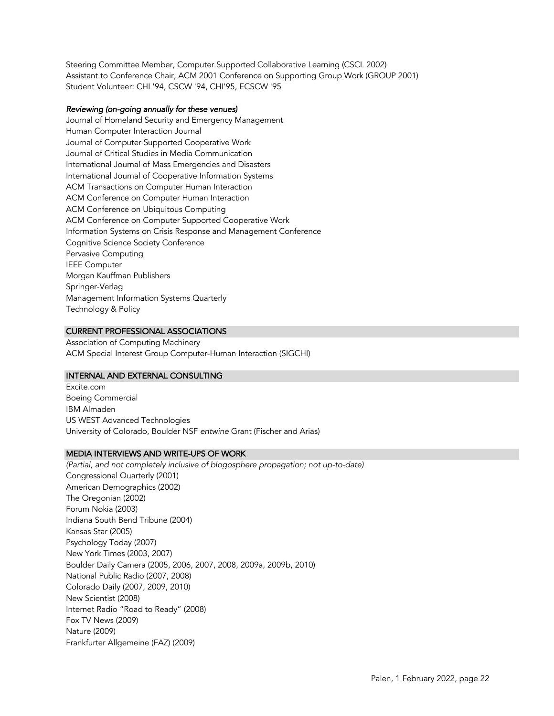Steering Committee Member, Computer Supported Collaborative Learning (CSCL 2002) Assistant to Conference Chair, ACM 2001 Conference on Supporting Group Work (GROUP 2001) Student Volunteer: CHI '94, CSCW '94, CHI'95, ECSCW '95

### *Reviewing (on-going annually for these venues)*

Journal of Homeland Security and Emergency Management Human Computer Interaction Journal Journal of Computer Supported Cooperative Work Journal of Critical Studies in Media Communication International Journal of Mass Emergencies and Disasters International Journal of Cooperative Information Systems ACM Transactions on Computer Human Interaction ACM Conference on Computer Human Interaction ACM Conference on Ubiquitous Computing ACM Conference on Computer Supported Cooperative Work Information Systems on Crisis Response and Management Conference Cognitive Science Society Conference Pervasive Computing IEEE Computer Morgan Kauffman Publishers Springer-Verlag Management Information Systems Quarterly Technology & Policy

# CURRENT PROFESSIONAL ASSOCIATIONS

Association of Computing Machinery ACM Special Interest Group Computer-Human Interaction (SIGCHI)

# INTERNAL AND EXTERNAL CONSULTING

Excite.com Boeing Commercial IBM Almaden US WEST Advanced Technologies University of Colorado, Boulder NSF *entwine* Grant (Fischer and Arias)

### MEDIA INTERVIEWS AND WRITE-UPS OF WORK

*(Partial, and not completely inclusive of blogosphere propagation; not up-to-date)* Congressional Quarterly (2001) American Demographics (2002) The Oregonian (2002) Forum Nokia (2003) Indiana South Bend Tribune (2004) Kansas Star (2005) Psychology Today (2007) New York Times (2003, 2007) Boulder Daily Camera (2005, 2006, 2007, 2008, 2009a, 2009b, 2010) National Public Radio (2007, 2008) Colorado Daily (2007, 2009, 2010) New Scientist (2008) Internet Radio "Road to Ready" (2008) Fox TV News (2009) Nature (2009) Frankfurter Allgemeine (FAZ) (2009)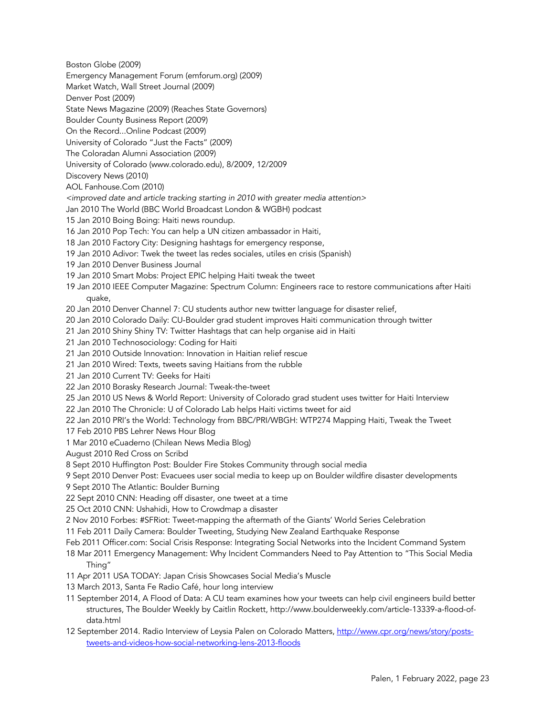Boston Globe (2009)

Emergency Management Forum (emforum.org) (2009)

Market Watch, Wall Street Journal (2009)

Denver Post (2009)

State News Magazine (2009) (Reaches State Governors)

Boulder County Business Report (2009)

On the Record...Online Podcast (2009)

University of Colorado "Just the Facts" (2009)

The Coloradan Alumni Association (2009)

University of Colorado (www.colorado.edu), 8/2009, 12/2009

Discovery News (2010)

AOL Fanhouse.Com (2010)

*<improved date and article tracking starting in 2010 with greater media attention>*

- Jan 2010 The World (BBC World Broadcast London & WGBH) podcast
- 15 Jan 2010 Boing Boing: Haiti news roundup.
- 16 Jan 2010 Pop Tech: You can help a UN citizen ambassador in Haiti,
- 18 Jan 2010 Factory City: Designing hashtags for emergency response,
- 19 Jan 2010 Adivor: Twek the tweet las redes sociales, utiles en crisis (Spanish)
- 19 Jan 2010 Denver Business Journal
- 19 Jan 2010 Smart Mobs: Project EPIC helping Haiti tweak the tweet
- 19 Jan 2010 IEEE Computer Magazine: Spectrum Column: Engineers race to restore communications after Haiti quake,
- 20 Jan 2010 Denver Channel 7: CU students author new twitter language for disaster relief,
- 20 Jan 2010 Colorado Daily: CU-Boulder grad student improves Haiti communication through twitter
- 21 Jan 2010 Shiny Shiny TV: Twitter Hashtags that can help organise aid in Haiti
- 21 Jan 2010 Technosociology: Coding for Haiti
- 21 Jan 2010 Outside Innovation: Innovation in Haitian relief rescue
- 21 Jan 2010 Wired: Texts, tweets saving Haitians from the rubble
- 21 Jan 2010 Current TV: Geeks for Haiti
- 22 Jan 2010 Borasky Research Journal: Tweak-the-tweet
- 25 Jan 2010 US News & World Report: University of Colorado grad student uses twitter for Haiti Interview

22 Jan 2010 The Chronicle: U of Colorado Lab helps Haiti victims tweet for aid

22 Jan 2010 PRI's the World: Technology from BBC/PRI/WBGH: WTP274 Mapping Haiti, Tweak the Tweet

17 Feb 2010 PBS Lehrer News Hour Blog

1 Mar 2010 eCuaderno (Chilean News Media Blog)

August 2010 Red Cross on Scribd

8 Sept 2010 Huffington Post: Boulder Fire Stokes Community through social media

9 Sept 2010 Denver Post: Evacuees user social media to keep up on Boulder wildfire disaster developments

9 Sept 2010 The Atlantic: Boulder Burning

22 Sept 2010 CNN: Heading off disaster, one tweet at a time

25 Oct 2010 CNN: Ushahidi, How to Crowdmap a disaster

2 Nov 2010 Forbes: #SFRiot: Tweet-mapping the aftermath of the Giants' World Series Celebration

11 Feb 2011 Daily Camera: Boulder Tweeting, Studying New Zealand Earthquake Response

Feb 2011 Officer.com: Social Crisis Response: Integrating Social Networks into the Incident Command System

18 Mar 2011 Emergency Management: Why Incident Commanders Need to Pay Attention to "This Social Media Thing"

11 Apr 2011 USA TODAY: Japan Crisis Showcases Social Media's Muscle

13 March 2013, Santa Fe Radio Café, hour long interview

- 11 September 2014, A Flood of Data: A CU team examines how your tweets can help civil engineers build better structures, The Boulder Weekly by Caitlin Rockett, http://www.boulderweekly.com/article-13339-a-flood-ofdata.html
- 12 September 2014. Radio Interview of Leysia Palen on Colorado Matters, http://www.cpr.org/news/story/poststweets-and-videos-how-social-networking-lens-2013-floods